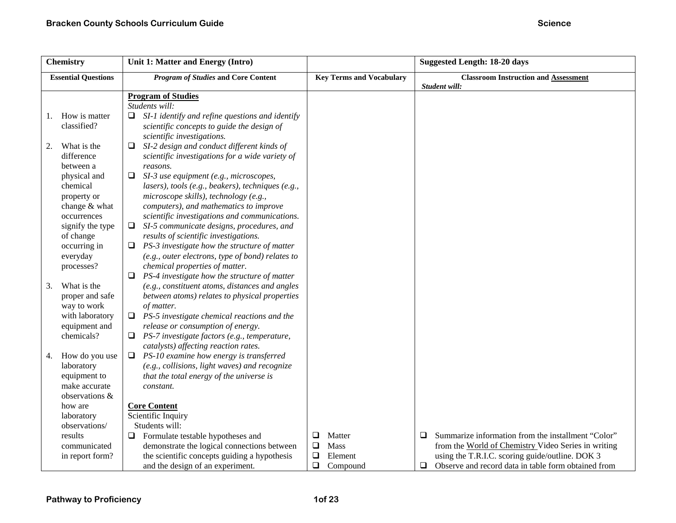|    | <b>Chemistry</b>                                                                | Unit 1: Matter and Energy (Intro)                                                                                                                                                                                                    |                       |                                 |        | <b>Suggested Length: 18-20 days</b>                                                                                                                           |
|----|---------------------------------------------------------------------------------|--------------------------------------------------------------------------------------------------------------------------------------------------------------------------------------------------------------------------------------|-----------------------|---------------------------------|--------|---------------------------------------------------------------------------------------------------------------------------------------------------------------|
|    | <b>Essential Questions</b>                                                      | <b>Program of Studies and Core Content</b>                                                                                                                                                                                           |                       | <b>Key Terms and Vocabulary</b> |        | <b>Classroom Instruction and Assessment</b><br>Student will:                                                                                                  |
|    |                                                                                 | <b>Program of Studies</b><br>Students will:                                                                                                                                                                                          |                       |                                 |        |                                                                                                                                                               |
| 1. | How is matter<br>classified?                                                    | SI-1 identify and refine questions and identify<br>Q.<br>scientific concepts to guide the design of<br>scientific investigations.                                                                                                    |                       |                                 |        |                                                                                                                                                               |
| 2. | What is the<br>difference<br>between a                                          | SI-2 design and conduct different kinds of<br>Q.<br>scientific investigations for a wide variety of<br>reasons.                                                                                                                      |                       |                                 |        |                                                                                                                                                               |
|    | physical and<br>chemical<br>property or<br>change & what<br>occurrences         | SI-3 use equipment (e.g., microscopes,<br>❏<br>lasers), tools (e.g., beakers), techniques (e.g.,<br>microscope skills), technology (e.g.,<br>computers), and mathematics to improve<br>scientific investigations and communications. |                       |                                 |        |                                                                                                                                                               |
|    | signify the type<br>of change<br>occurring in<br>everyday                       | SI-5 communicate designs, procedures, and<br>$\Box$<br>results of scientific investigations.<br>PS-3 investigate how the structure of matter<br>□<br>(e.g., outer electrons, type of bond) relates to                                |                       |                                 |        |                                                                                                                                                               |
|    | processes?                                                                      | chemical properties of matter.<br>PS-4 investigate how the structure of matter                                                                                                                                                       |                       |                                 |        |                                                                                                                                                               |
| 3. | What is the<br>proper and safe<br>way to work                                   | (e.g., constituent atoms, distances and angles<br>between atoms) relates to physical properties<br>of matter.                                                                                                                        |                       |                                 |        |                                                                                                                                                               |
|    | with laboratory<br>equipment and                                                | PS-5 investigate chemical reactions and the<br>⊔<br>release or consumption of energy.                                                                                                                                                |                       |                                 |        |                                                                                                                                                               |
|    | chemicals?                                                                      | PS-7 investigate factors (e.g., temperature,<br>u.<br>catalysts) affecting reaction rates.                                                                                                                                           |                       |                                 |        |                                                                                                                                                               |
| 4. | How do you use<br>laboratory<br>equipment to<br>make accurate<br>observations & | $\Box$ PS-10 examine how energy is transferred<br>(e.g., collisions, light waves) and recognize<br>that the total energy of the universe is<br>constant.                                                                             |                       |                                 |        |                                                                                                                                                               |
|    | how are<br>laboratory                                                           | <b>Core Content</b><br>Scientific Inquiry                                                                                                                                                                                            |                       |                                 |        |                                                                                                                                                               |
|    | observations/<br>results                                                        | Students will:<br>Formulate testable hypotheses and<br>□                                                                                                                                                                             | $\Box$                | Matter                          | $\Box$ | Summarize information from the installment "Color"                                                                                                            |
|    | communicated<br>in report form?                                                 | demonstrate the logical connections between<br>the scientific concepts guiding a hypothesis<br>and the design of an experiment.                                                                                                      | ❏<br>$\Box$<br>$\Box$ | Mass<br>Element<br>Compound     |        | from the World of Chemistry Video Series in writing<br>using the T.R.I.C. scoring guide/outline. DOK 3<br>Observe and record data in table form obtained from |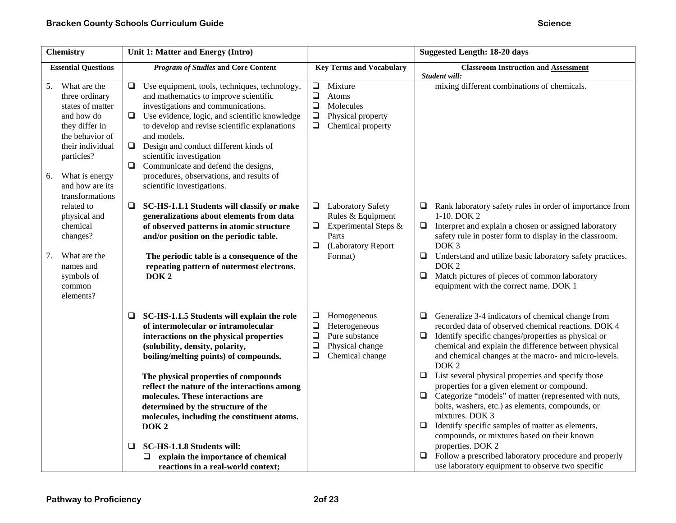| <b>Chemistry</b>                                                                                                                                                                                            | Unit 1: Matter and Energy (Intro)                                                                                                                                                                                                                                                                                                                                                                                                                                      |                                                                                                                                   | <b>Suggested Length: 18-20 days</b>                                                                                                                                                                                                                                                                                                                                |
|-------------------------------------------------------------------------------------------------------------------------------------------------------------------------------------------------------------|------------------------------------------------------------------------------------------------------------------------------------------------------------------------------------------------------------------------------------------------------------------------------------------------------------------------------------------------------------------------------------------------------------------------------------------------------------------------|-----------------------------------------------------------------------------------------------------------------------------------|--------------------------------------------------------------------------------------------------------------------------------------------------------------------------------------------------------------------------------------------------------------------------------------------------------------------------------------------------------------------|
| <b>Essential Questions</b>                                                                                                                                                                                  | <b>Program of Studies and Core Content</b>                                                                                                                                                                                                                                                                                                                                                                                                                             | <b>Key Terms and Vocabulary</b>                                                                                                   | <b>Classroom Instruction and Assessment</b><br>Student will:                                                                                                                                                                                                                                                                                                       |
| What are the<br>5.<br>three ordinary<br>states of matter<br>and how do<br>they differ in<br>the behavior of<br>their individual<br>particles?<br>What is energy<br>6.<br>and how are its<br>transformations | Use equipment, tools, techniques, technology,<br>❏<br>and mathematics to improve scientific<br>investigations and communications.<br>Use evidence, logic, and scientific knowledge<br>$\Box$<br>to develop and revise scientific explanations<br>and models.<br>Design and conduct different kinds of<br>$\Box$<br>scientific investigation<br>$\Box$<br>Communicate and defend the designs,<br>procedures, observations, and results of<br>scientific investigations. | Mixture<br>$\Box$<br>$\Box$<br>Atoms<br>$\Box$<br>Molecules<br>$\Box$<br>Physical property<br>Chemical property<br>$\Box$         | mixing different combinations of chemicals.                                                                                                                                                                                                                                                                                                                        |
| related to<br>physical and<br>chemical<br>changes?                                                                                                                                                          | SC-HS-1.1.1 Students will classify or make<br>❏<br>generalizations about elements from data<br>of observed patterns in atomic structure<br>and/or position on the periodic table.                                                                                                                                                                                                                                                                                      | <b>Laboratory Safety</b><br>⊔<br>Rules & Equipment<br>Experimental Steps &<br>$\Box$<br>Parts<br>$\Box$<br>(Laboratory Report     | Rank laboratory safety rules in order of importance from<br>□<br>$1-10$ . DOK 2<br>Interpret and explain a chosen or assigned laboratory<br>$\Box$<br>safety rule in poster form to display in the classroom.<br>DOK <sub>3</sub>                                                                                                                                  |
| What are the<br>7.<br>names and<br>symbols of<br>common<br>elements?                                                                                                                                        | The periodic table is a consequence of the<br>repeating pattern of outermost electrons.<br>DOK <sub>2</sub>                                                                                                                                                                                                                                                                                                                                                            | Format)                                                                                                                           | □<br>Understand and utilize basic laboratory safety practices.<br>DOK <sub>2</sub><br>Match pictures of pieces of common laboratory<br>$\Box$<br>equipment with the correct name. DOK 1                                                                                                                                                                            |
|                                                                                                                                                                                                             | SC-HS-1.1.5 Students will explain the role<br>⊔<br>of intermolecular or intramolecular<br>interactions on the physical properties<br>(solubility, density, polarity,<br>boiling/melting points) of compounds.                                                                                                                                                                                                                                                          | ❏<br>Homogeneous<br>$\Box$<br>Heterogeneous<br>Pure substance<br>$\Box$<br>$\Box$<br>Physical change<br>$\Box$<br>Chemical change | Generalize 3-4 indicators of chemical change from<br>$\Box$<br>recorded data of observed chemical reactions. DOK 4<br>Identify specific changes/properties as physical or<br>$\Box$<br>chemical and explain the difference between physical<br>and chemical changes at the macro- and micro-levels.<br>DOK <sub>2</sub>                                            |
|                                                                                                                                                                                                             | The physical properties of compounds<br>reflect the nature of the interactions among<br>molecules. These interactions are<br>determined by the structure of the<br>molecules, including the constituent atoms.<br>DOK <sub>2</sub>                                                                                                                                                                                                                                     |                                                                                                                                   | List several physical properties and specify those<br>$\Box$<br>properties for a given element or compound.<br>Categorize "models" of matter (represented with nuts,<br>$\Box$<br>bolts, washers, etc.) as elements, compounds, or<br>mixtures. DOK 3<br>Identify specific samples of matter as elements,<br>$\Box$<br>compounds, or mixtures based on their known |
|                                                                                                                                                                                                             | SC-HS-1.1.8 Students will:<br>❏<br>explain the importance of chemical<br>⊔<br>reactions in a real-world context;                                                                                                                                                                                                                                                                                                                                                       |                                                                                                                                   | properties. DOK 2<br>Follow a prescribed laboratory procedure and properly<br>use laboratory equipment to observe two specific                                                                                                                                                                                                                                     |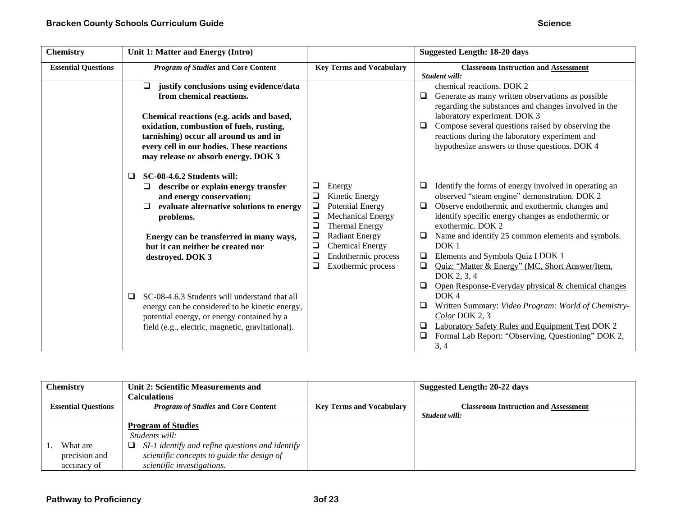| <b>Chemistry</b>           | Unit 1: Matter and Energy (Intro)                                                                                                                                                                                                                                                               |                                                                                                                                                                                          | <b>Suggested Length: 18-20 days</b>                                                                                                                                                                                                                                                                                                      |
|----------------------------|-------------------------------------------------------------------------------------------------------------------------------------------------------------------------------------------------------------------------------------------------------------------------------------------------|------------------------------------------------------------------------------------------------------------------------------------------------------------------------------------------|------------------------------------------------------------------------------------------------------------------------------------------------------------------------------------------------------------------------------------------------------------------------------------------------------------------------------------------|
| <b>Essential Questions</b> | <b>Program of Studies and Core Content</b>                                                                                                                                                                                                                                                      | <b>Key Terms and Vocabulary</b>                                                                                                                                                          | <b>Classroom Instruction and Assessment</b><br>Student will:                                                                                                                                                                                                                                                                             |
|                            | justify conclusions using evidence/data<br>❏<br>from chemical reactions.<br>Chemical reactions (e.g. acids and based,<br>oxidation, combustion of fuels, rusting,<br>tarnishing) occur all around us and in<br>every cell in our bodies. These reactions<br>may release or absorb energy. DOK 3 |                                                                                                                                                                                          | chemical reactions. DOK 2<br>Generate as many written observations as possible<br>regarding the substances and changes involved in the<br>laboratory experiment. DOK 3<br>Compose several questions raised by observing the<br>$\Box$<br>reactions during the laboratory experiment and<br>hypothesize answers to those questions. DOK 4 |
|                            | SC-08-4.6.2 Students will:<br>□<br>describe or explain energy transfer<br>⊔<br>and energy conservation;<br>evaluate alternative solutions to energy<br>$\Box$<br>problems.<br>Energy can be transferred in many ways,                                                                           | ❏<br>Energy<br>$\Box$<br>Kinetic Energy<br>$\Box$<br><b>Potential Energy</b><br><b>Mechanical Energy</b><br>$\Box$<br>$\Box$<br><b>Thermal Energy</b><br>$\Box$<br><b>Radiant Energy</b> | Identify the forms of energy involved in operating an<br>⊔<br>observed "steam engine" demonstration. DOK 2<br>Observe endothermic and exothermic changes and<br>identify specific energy changes as endothermic or<br>exothermic. DOK 2<br>Name and identify 25 common elements and symbols.                                             |
|                            | but it can neither be created nor<br>destroyed. DOK 3                                                                                                                                                                                                                                           | $\Box$<br><b>Chemical Energy</b><br>$\Box$<br>Endothermic process<br>Exothermic process<br>❏                                                                                             | DOK <sub>1</sub><br>Elements and Symbols Quiz I DOK 1<br>$\Box$<br>Quiz: "Matter & Energy" (MC, Short Answer/Item,<br>❏<br>DOK 2, 3, 4<br>Open Response-Everyday physical & chemical changes<br>❏                                                                                                                                        |
|                            | SC-08-4.6.3 Students will understand that all<br>❏<br>energy can be considered to be kinetic energy,<br>potential energy, or energy contained by a<br>field (e.g., electric, magnetic, gravitational).                                                                                          |                                                                                                                                                                                          | DOK4<br>Written Summary: Video Program: World of Chemistry-<br>□<br>Color DOK 2, 3<br><b>Laboratory Safety Rules and Equipment Test DOK 2</b><br>$\Box$<br>Formal Lab Report: "Observing, Questioning" DOK 2,<br>$\Box$<br>3, 4                                                                                                          |

|                            | <b>Chemistry</b> | Unit 2: Scientific Measurements and<br><b>Calculations</b> |                                 | Suggested Length: 20-22 days                |
|----------------------------|------------------|------------------------------------------------------------|---------------------------------|---------------------------------------------|
| <b>Essential Questions</b> |                  | <i>Program of Studies</i> and Core Content                 | <b>Key Terms and Vocabulary</b> | <b>Classroom Instruction and Assessment</b> |
|                            |                  |                                                            |                                 | Student will:                               |
|                            |                  | <b>Program of Studies</b>                                  |                                 |                                             |
|                            |                  | Students will:                                             |                                 |                                             |
|                            | What are         | SI-1 identify and refine questions and identify            |                                 |                                             |
|                            | precision and    | scientific concepts to guide the design of                 |                                 |                                             |
|                            | accuracy of      | scientific investigations.                                 |                                 |                                             |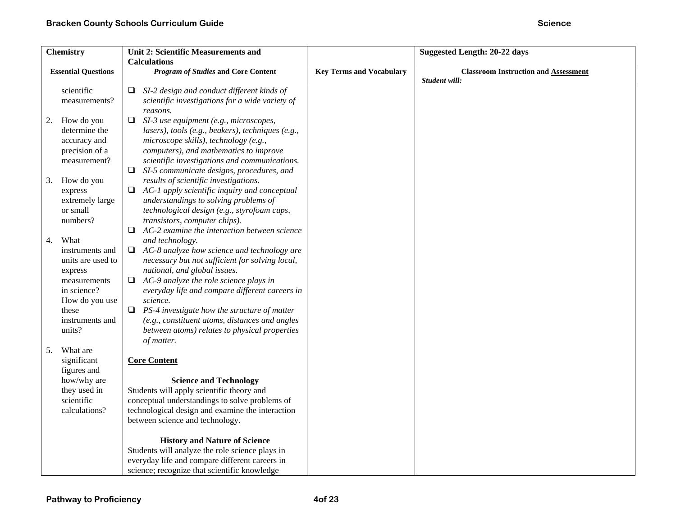| <b>Chemistry</b> |                            | <b>Unit 2: Scientific Measurements and</b>          |                                 | <b>Suggested Length: 20-22 days</b>         |
|------------------|----------------------------|-----------------------------------------------------|---------------------------------|---------------------------------------------|
|                  |                            | <b>Calculations</b>                                 |                                 |                                             |
|                  | <b>Essential Questions</b> | <b>Program of Studies and Core Content</b>          | <b>Key Terms and Vocabulary</b> | <b>Classroom Instruction and Assessment</b> |
|                  |                            |                                                     |                                 | Student will:                               |
|                  | scientific                 | SI-2 design and conduct different kinds of<br>⊔     |                                 |                                             |
|                  | measurements?              | scientific investigations for a wide variety of     |                                 |                                             |
|                  |                            | reasons.                                            |                                 |                                             |
| 2.               | How do you                 | SI-3 use equipment (e.g., microscopes,              |                                 |                                             |
|                  | determine the              | lasers), tools (e.g., beakers), techniques (e.g.,   |                                 |                                             |
|                  | accuracy and               | microscope skills), technology (e.g.,               |                                 |                                             |
|                  | precision of a             | computers), and mathematics to improve              |                                 |                                             |
|                  | measurement?               | scientific investigations and communications.       |                                 |                                             |
|                  |                            | $\Box$ SI-5 communicate designs, procedures, and    |                                 |                                             |
| 3.               | How do you                 | results of scientific investigations.               |                                 |                                             |
|                  | express                    | $\Box$ AC-1 apply scientific inquiry and conceptual |                                 |                                             |
|                  | extremely large            | understandings to solving problems of               |                                 |                                             |
|                  | or small                   | technological design (e.g., styrofoam cups,         |                                 |                                             |
|                  | numbers?                   | transistors, computer chips).                       |                                 |                                             |
|                  |                            | $\Box$ AC-2 examine the interaction between science |                                 |                                             |
| 4.               | What                       | and technology.                                     |                                 |                                             |
|                  | instruments and            | AC-8 analyze how science and technology are<br>□    |                                 |                                             |
|                  | units are used to          | necessary but not sufficient for solving local,     |                                 |                                             |
|                  | express                    | national, and global issues.                        |                                 |                                             |
|                  | measurements               | AC-9 analyze the role science plays in<br>❏         |                                 |                                             |
|                  | in science?                | everyday life and compare different careers in      |                                 |                                             |
|                  | How do you use             | science.                                            |                                 |                                             |
|                  | these                      | PS-4 investigate how the structure of matter<br>❏   |                                 |                                             |
|                  | instruments and            | (e.g., constituent atoms, distances and angles      |                                 |                                             |
|                  | units?                     | between atoms) relates to physical properties       |                                 |                                             |
|                  |                            | of matter.                                          |                                 |                                             |
| 5.               | What are                   |                                                     |                                 |                                             |
|                  | significant<br>figures and | <b>Core Content</b>                                 |                                 |                                             |
|                  | how/why are                | <b>Science and Technology</b>                       |                                 |                                             |
|                  | they used in               | Students will apply scientific theory and           |                                 |                                             |
|                  | scientific                 | conceptual understandings to solve problems of      |                                 |                                             |
|                  | calculations?              | technological design and examine the interaction    |                                 |                                             |
|                  |                            | between science and technology.                     |                                 |                                             |
|                  |                            |                                                     |                                 |                                             |
|                  |                            | <b>History and Nature of Science</b>                |                                 |                                             |
|                  |                            | Students will analyze the role science plays in     |                                 |                                             |
|                  |                            | everyday life and compare different careers in      |                                 |                                             |
|                  |                            | science; recognize that scientific knowledge        |                                 |                                             |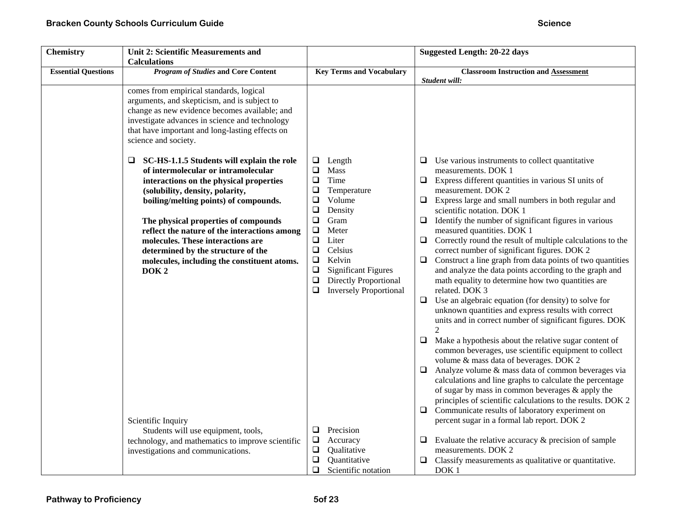| <b>Chemistry</b>           | <b>Unit 2: Scientific Measurements and</b><br><b>Calculations</b>                                                                                                                                                                                                                                                                                                                                                                                   |                                                                                                                                                                                                                                                                                                                           | <b>Suggested Length: 20-22 days</b>                                                                                                                                                                                                                                                                                                                                                                                                                                                                                                                                                                                                                                                                                                                                                                                                                                                                                                                                                                                                                                                                                                                                                                                                         |
|----------------------------|-----------------------------------------------------------------------------------------------------------------------------------------------------------------------------------------------------------------------------------------------------------------------------------------------------------------------------------------------------------------------------------------------------------------------------------------------------|---------------------------------------------------------------------------------------------------------------------------------------------------------------------------------------------------------------------------------------------------------------------------------------------------------------------------|---------------------------------------------------------------------------------------------------------------------------------------------------------------------------------------------------------------------------------------------------------------------------------------------------------------------------------------------------------------------------------------------------------------------------------------------------------------------------------------------------------------------------------------------------------------------------------------------------------------------------------------------------------------------------------------------------------------------------------------------------------------------------------------------------------------------------------------------------------------------------------------------------------------------------------------------------------------------------------------------------------------------------------------------------------------------------------------------------------------------------------------------------------------------------------------------------------------------------------------------|
| <b>Essential Questions</b> | <b>Program of Studies and Core Content</b>                                                                                                                                                                                                                                                                                                                                                                                                          | <b>Key Terms and Vocabulary</b>                                                                                                                                                                                                                                                                                           | <b>Classroom Instruction and Assessment</b><br>Student will:                                                                                                                                                                                                                                                                                                                                                                                                                                                                                                                                                                                                                                                                                                                                                                                                                                                                                                                                                                                                                                                                                                                                                                                |
|                            | comes from empirical standards, logical<br>arguments, and skepticism, and is subject to<br>change as new evidence becomes available; and<br>investigate advances in science and technology<br>that have important and long-lasting effects on<br>science and society.                                                                                                                                                                               |                                                                                                                                                                                                                                                                                                                           |                                                                                                                                                                                                                                                                                                                                                                                                                                                                                                                                                                                                                                                                                                                                                                                                                                                                                                                                                                                                                                                                                                                                                                                                                                             |
|                            | SC-HS-1.1.5 Students will explain the role<br>⊔<br>of intermolecular or intramolecular<br>interactions on the physical properties<br>(solubility, density, polarity,<br>boiling/melting points) of compounds.<br>The physical properties of compounds<br>reflect the nature of the interactions among<br>molecules. These interactions are<br>determined by the structure of the<br>molecules, including the constituent atoms.<br>DOK <sub>2</sub> | Length<br>⊔<br>$\Box$<br>Mass<br>$\Box$<br>Time<br>$\Box$<br>Temperature<br>Volume<br>❏<br>$\Box$<br>Density<br>Gram<br>$\Box$<br>$\Box$<br>Meter<br>$\Box$<br>Liter<br>$\Box$<br>Celsius<br>Kelvin<br>❏<br>$\Box$<br><b>Significant Figures</b><br>$\Box$<br>Directly Proportional<br><b>Inversely Proportional</b><br>❏ | $\Box$ Use various instruments to collect quantitative<br>measurements. DOK 1<br>$\Box$<br>Express different quantities in various SI units of<br>measurement. DOK 2<br>Express large and small numbers in both regular and<br>$\Box$<br>scientific notation. DOK 1<br>Identify the number of significant figures in various<br>$\Box$<br>measured quantities. DOK 1<br>$\Box$<br>Correctly round the result of multiple calculations to the<br>correct number of significant figures. DOK 2<br>Construct a line graph from data points of two quantities<br>$\Box$<br>and analyze the data points according to the graph and<br>math equality to determine how two quantities are<br>related. DOK 3<br>$\Box$ Use an algebraic equation (for density) to solve for<br>unknown quantities and express results with correct<br>units and in correct number of significant figures. DOK<br>$\Box$<br>Make a hypothesis about the relative sugar content of<br>common beverages, use scientific equipment to collect<br>volume & mass data of beverages. DOK 2<br>$\Box$ Analyze volume & mass data of common beverages via<br>calculations and line graphs to calculate the percentage<br>of sugar by mass in common beverages $\&$ apply the |
|                            | Scientific Inquiry<br>Students will use equipment, tools,<br>technology, and mathematics to improve scientific<br>investigations and communications.                                                                                                                                                                                                                                                                                                | Precision<br>□<br>$\Box$<br>Accuracy<br>$\Box$<br>Qualitative<br>$\Box$<br>Quantitative<br>$\Box$<br>Scientific notation                                                                                                                                                                                                  | principles of scientific calculations to the results. DOK 2<br>$\Box$<br>Communicate results of laboratory experiment on<br>percent sugar in a formal lab report. DOK 2<br>$\Box$ Evaluate the relative accuracy & precision of sample<br>measurements. DOK 2<br>Classify measurements as qualitative or quantitative.<br>$\Box$<br>DOK <sub>1</sub>                                                                                                                                                                                                                                                                                                                                                                                                                                                                                                                                                                                                                                                                                                                                                                                                                                                                                        |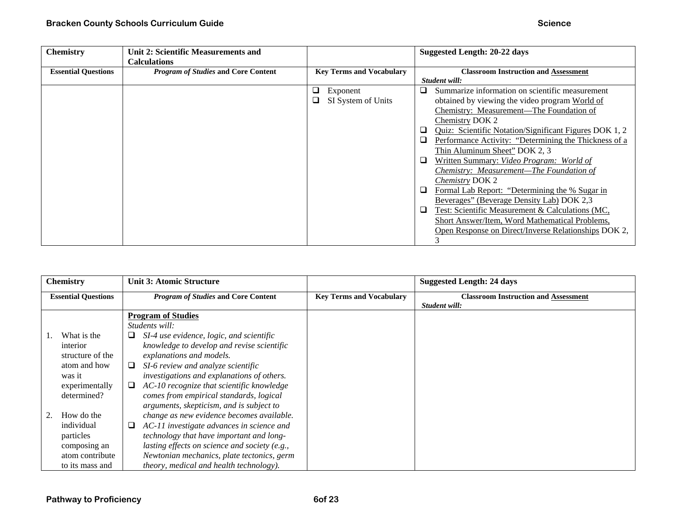| <b>Chemistry</b>           | <b>Unit 2: Scientific Measurements and</b><br><b>Calculations</b> |         |                                 |                            | Suggested Length: 20-22 days                                                                                                                                                                                                                                                                                                                                                                                                                                                                                                                                                                                                                                                                        |
|----------------------------|-------------------------------------------------------------------|---------|---------------------------------|----------------------------|-----------------------------------------------------------------------------------------------------------------------------------------------------------------------------------------------------------------------------------------------------------------------------------------------------------------------------------------------------------------------------------------------------------------------------------------------------------------------------------------------------------------------------------------------------------------------------------------------------------------------------------------------------------------------------------------------------|
| <b>Essential Questions</b> | <b>Program of Studies and Core Content</b>                        |         | <b>Key Terms and Vocabulary</b> |                            | <b>Classroom Instruction and Assessment</b><br>Student will:                                                                                                                                                                                                                                                                                                                                                                                                                                                                                                                                                                                                                                        |
|                            |                                                                   | ⊔<br>O. | Exponent<br>SI System of Units  | □<br>⊔<br>❏<br>❏<br>❏<br>⊔ | Summarize information on scientific measurement<br>obtained by viewing the video program World of<br>Chemistry: Measurement—The Foundation of<br>Chemistry DOK 2<br>Quiz: Scientific Notation/Significant Figures DOK 1, 2<br>Performance Activity: "Determining the Thickness of a<br>Thin Aluminum Sheet" DOK 2, 3<br>Written Summary: Video Program: World of<br>Chemistry: Measurement—The Foundation of<br><i>Chemistry DOK 2</i><br>Formal Lab Report: "Determining the % Sugar in<br>Beverages" (Beverage Density Lab) DOK 2,3<br>Test: Scientific Measurement & Calculations (MC,<br>Short Answer/Item, Word Mathematical Problems,<br>Open Response on Direct/Inverse Relationships DOK 2, |

| <b>Chemistry</b>           |                  |   | <b>Unit 3: Atomic Structure</b>               |                                 | <b>Suggested Length: 24 days</b>            |
|----------------------------|------------------|---|-----------------------------------------------|---------------------------------|---------------------------------------------|
| <b>Essential Questions</b> |                  |   | <b>Program of Studies and Core Content</b>    | <b>Key Terms and Vocabulary</b> | <b>Classroom Instruction and Assessment</b> |
|                            |                  |   |                                               |                                 | Student will:                               |
|                            |                  |   | <b>Program of Studies</b>                     |                                 |                                             |
|                            |                  |   | Students will:                                |                                 |                                             |
|                            | What is the      |   | SI-4 use evidence, logic, and scientific      |                                 |                                             |
|                            | interior         |   | knowledge to develop and revise scientific    |                                 |                                             |
|                            | structure of the |   | explanations and models.                      |                                 |                                             |
|                            | atom and how     | ⊔ | SI-6 review and analyze scientific            |                                 |                                             |
|                            | was it           |   | investigations and explanations of others.    |                                 |                                             |
|                            | experimentally   | ⊔ | AC-10 recognize that scientific knowledge     |                                 |                                             |
|                            | determined?      |   | comes from empirical standards, logical       |                                 |                                             |
|                            |                  |   | arguments, skepticism, and is subject to      |                                 |                                             |
| 2.                         | How do the       |   | change as new evidence becomes available.     |                                 |                                             |
|                            | individual       | ⊔ | AC-11 investigate advances in science and     |                                 |                                             |
|                            | particles        |   | technology that have important and long-      |                                 |                                             |
|                            | composing an     |   | lasting effects on science and society (e.g., |                                 |                                             |
|                            | atom contribute  |   | Newtonian mechanics, plate tectonics, germ    |                                 |                                             |
|                            | to its mass and  |   | theory, medical and health technology).       |                                 |                                             |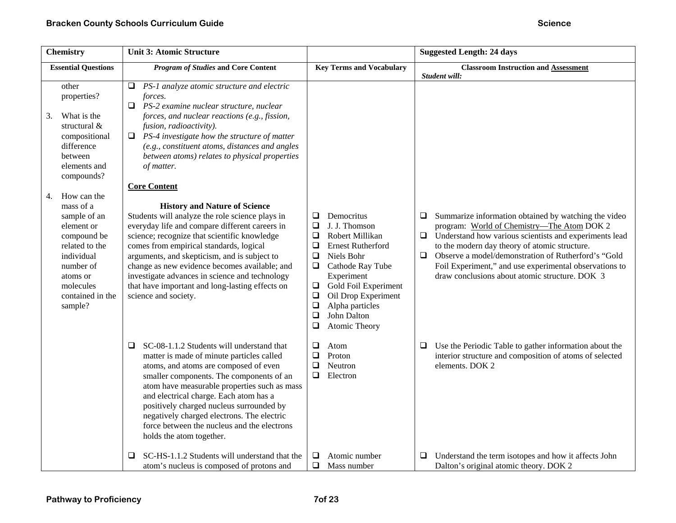| <b>Chemistry</b>                                                                                                                                                                                                                                                                                                      | <b>Unit 3: Atomic Structure</b>                                                                                                                                                                                                                                                                                                                                                                                                                                                                                                                                                                                                                                                                                                                                                                                                                           |                                                                                                                                                                                                                                                                                                                             | <b>Suggested Length: 24 days</b>                                                                                                                                                                                                                                                                                                                                                                          |
|-----------------------------------------------------------------------------------------------------------------------------------------------------------------------------------------------------------------------------------------------------------------------------------------------------------------------|-----------------------------------------------------------------------------------------------------------------------------------------------------------------------------------------------------------------------------------------------------------------------------------------------------------------------------------------------------------------------------------------------------------------------------------------------------------------------------------------------------------------------------------------------------------------------------------------------------------------------------------------------------------------------------------------------------------------------------------------------------------------------------------------------------------------------------------------------------------|-----------------------------------------------------------------------------------------------------------------------------------------------------------------------------------------------------------------------------------------------------------------------------------------------------------------------------|-----------------------------------------------------------------------------------------------------------------------------------------------------------------------------------------------------------------------------------------------------------------------------------------------------------------------------------------------------------------------------------------------------------|
| <b>Essential Questions</b>                                                                                                                                                                                                                                                                                            | <b>Program of Studies and Core Content</b>                                                                                                                                                                                                                                                                                                                                                                                                                                                                                                                                                                                                                                                                                                                                                                                                                | <b>Key Terms and Vocabulary</b>                                                                                                                                                                                                                                                                                             | <b>Classroom Instruction and Assessment</b><br>Student will:                                                                                                                                                                                                                                                                                                                                              |
| other<br>properties?<br>What is the<br>3.<br>structural &<br>compositional<br>difference<br>between<br>elements and<br>compounds?<br>How can the<br>4.<br>mass of a<br>sample of an<br>element or<br>compound be<br>related to the<br>individual<br>number of<br>atoms or<br>molecules<br>contained in the<br>sample? | PS-1 analyze atomic structure and electric<br>⊔<br>forces.<br>❏<br>PS-2 examine nuclear structure, nuclear<br>forces, and nuclear reactions (e.g., fission,<br>fusion, radioactivity).<br>PS-4 investigate how the structure of matter<br>0<br>(e.g., constituent atoms, distances and angles<br>between atoms) relates to physical properties<br>of matter.<br><b>Core Content</b><br><b>History and Nature of Science</b><br>Students will analyze the role science plays in<br>everyday life and compare different careers in<br>science; recognize that scientific knowledge<br>comes from empirical standards, logical<br>arguments, and skepticism, and is subject to<br>change as new evidence becomes available; and<br>investigate advances in science and technology<br>that have important and long-lasting effects on<br>science and society. | Democritus<br>❏<br>$\Box$<br>J. J. Thomson<br>$\Box$<br>Robert Millikan<br>❏<br><b>Ernest Rutherford</b><br>$\Box$<br>Niels Bohr<br>$\Box$<br>Cathode Ray Tube<br>Experiment<br>$\Box$<br>Gold Foil Experiment<br>$\Box$<br>Oil Drop Experiment<br>$\Box$<br>Alpha particles<br>$\Box$<br>John Dalton<br>❏<br>Atomic Theory | Summarize information obtained by watching the video<br>□<br>program: World of Chemistry-The Atom DOK 2<br>Understand how various scientists and experiments lead<br>$\Box$<br>to the modern day theory of atomic structure.<br>$\Box$<br>Observe a model/demonstration of Rutherford's "Gold<br>Foil Experiment," and use experimental observations to<br>draw conclusions about atomic structure. DOK 3 |
|                                                                                                                                                                                                                                                                                                                       | SC-08-1.1.2 Students will understand that<br>$\Box$<br>matter is made of minute particles called<br>atoms, and atoms are composed of even<br>smaller components. The components of an<br>atom have measurable properties such as mass<br>and electrical charge. Each atom has a<br>positively charged nucleus surrounded by<br>negatively charged electrons. The electric<br>force between the nucleus and the electrons<br>holds the atom together.                                                                                                                                                                                                                                                                                                                                                                                                      | $\Box$<br>Atom<br>$\Box$<br>Proton<br>❏<br>Neutron<br>$\Box$<br>Electron                                                                                                                                                                                                                                                    | Use the Periodic Table to gather information about the<br>□<br>interior structure and composition of atoms of selected<br>elements. DOK 2                                                                                                                                                                                                                                                                 |
|                                                                                                                                                                                                                                                                                                                       | SC-HS-1.1.2 Students will understand that the<br>□<br>atom's nucleus is composed of protons and                                                                                                                                                                                                                                                                                                                                                                                                                                                                                                                                                                                                                                                                                                                                                           | $\Box$<br>Atomic number<br>$\Box$<br>Mass number                                                                                                                                                                                                                                                                            | Understand the term isotopes and how it affects John<br>□<br>Dalton's original atomic theory. DOK 2                                                                                                                                                                                                                                                                                                       |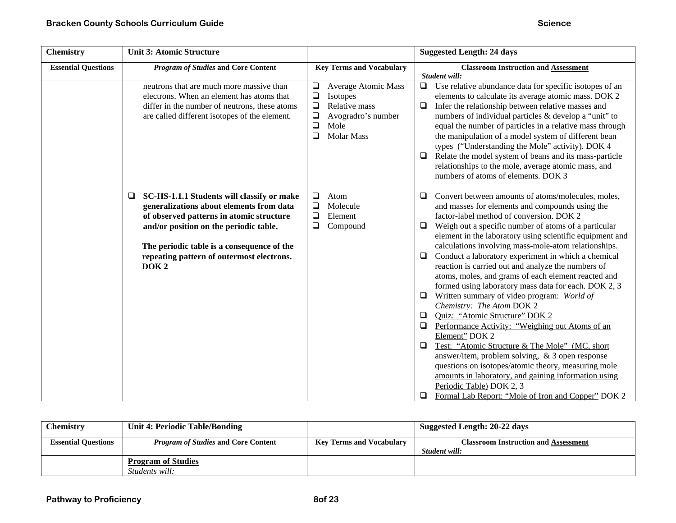| <b>Chemistry</b>           | <b>Unit 3: Atomic Structure</b>                                                                                                                                                                                                                                                                  |                                                                                                                                                                   | <b>Suggested Length: 24 days</b>                                                                                                                                                                                                                                                                                                                                                                                                                                                                                                                                                                                                                                                                                                                                                                                                                                                                                                                          |
|----------------------------|--------------------------------------------------------------------------------------------------------------------------------------------------------------------------------------------------------------------------------------------------------------------------------------------------|-------------------------------------------------------------------------------------------------------------------------------------------------------------------|-----------------------------------------------------------------------------------------------------------------------------------------------------------------------------------------------------------------------------------------------------------------------------------------------------------------------------------------------------------------------------------------------------------------------------------------------------------------------------------------------------------------------------------------------------------------------------------------------------------------------------------------------------------------------------------------------------------------------------------------------------------------------------------------------------------------------------------------------------------------------------------------------------------------------------------------------------------|
| <b>Essential Questions</b> | <b>Program of Studies and Core Content</b>                                                                                                                                                                                                                                                       | <b>Key Terms and Vocabulary</b>                                                                                                                                   | <b>Classroom Instruction and Assessment</b><br>Student will:                                                                                                                                                                                                                                                                                                                                                                                                                                                                                                                                                                                                                                                                                                                                                                                                                                                                                              |
|                            | neutrons that are much more massive than<br>electrons. When an element has atoms that<br>differ in the number of neutrons, these atoms<br>are called different isotopes of the element.                                                                                                          | <b>Average Atomic Mass</b><br>$\Box$<br>$\Box$<br>Isotopes<br>$\Box$<br>Relative mass<br>$\Box$<br>Avogradro's number<br>$\Box$<br>Mole<br><b>Molar Mass</b><br>□ | $\Box$ Use relative abundance data for specific isotopes of an<br>elements to calculate its average atomic mass. DOK 2<br>Infer the relationship between relative masses and<br>$\Box$<br>numbers of individual particles & develop a "unit" to<br>equal the number of particles in a relative mass through<br>the manipulation of a model system of different bean<br>types ("Understanding the Mole" activity). DOK 4<br>Relate the model system of beans and its mass-particle<br>$\Box$<br>relationships to the mole, average atomic mass, and<br>numbers of atoms of elements. DOK 3                                                                                                                                                                                                                                                                                                                                                                 |
|                            | SC-HS-1.1.1 Students will classify or make<br>□<br>generalizations about elements from data<br>of observed patterns in atomic structure<br>and/or position on the periodic table.<br>The periodic table is a consequence of the<br>repeating pattern of outermost electrons.<br>DOK <sub>2</sub> | $\Box$<br>Atom<br>$\Box$<br>Molecule<br>$\Box$<br>Element<br>❏<br>Compound                                                                                        | Convert between amounts of atoms/molecules, moles,<br>$\Box$<br>and masses for elements and compounds using the<br>factor-label method of conversion. DOK 2<br>Weigh out a specific number of atoms of a particular<br>element in the laboratory using scientific equipment and<br>calculations involving mass-mole-atom relationships.<br>Conduct a laboratory experiment in which a chemical<br>$\Box$<br>reaction is carried out and analyze the numbers of<br>atoms, moles, and grams of each element reacted and<br>formed using laboratory mass data for each. DOK 2, 3<br>Written summary of video program: World of<br>Chemistry: The Atom DOK 2<br>Quiz: "Atomic Structure" DOK 2<br>$\Box$<br>Performance Activity: "Weighing out Atoms of an<br>$\Box$<br>Element" DOK 2<br>Test: "Atomic Structure & The Mole" (MC, short<br>$\Box$<br>answer/item, problem solving, & 3 open response<br>questions on isotopes/atomic theory, measuring mole |
|                            |                                                                                                                                                                                                                                                                                                  |                                                                                                                                                                   | amounts in laboratory, and gaining information using<br>Periodic Table) DOK 2, 3<br>Formal Lab Report: "Mole of Iron and Copper" DOK 2<br>$\Box$                                                                                                                                                                                                                                                                                                                                                                                                                                                                                                                                                                                                                                                                                                                                                                                                          |

| <b>Chemistry</b>           | <b>Unit 4: Periodic Table/Bonding</b>              |                                 | Suggested Length: 20-22 days                                 |
|----------------------------|----------------------------------------------------|---------------------------------|--------------------------------------------------------------|
| <b>Essential Questions</b> | <i>Program of Studies</i> and Core Content         | <b>Key Terms and Vocabulary</b> | <b>Classroom Instruction and Assessment</b><br>Student will: |
|                            | <b>Program of Studies</b><br><i>Students will:</i> |                                 |                                                              |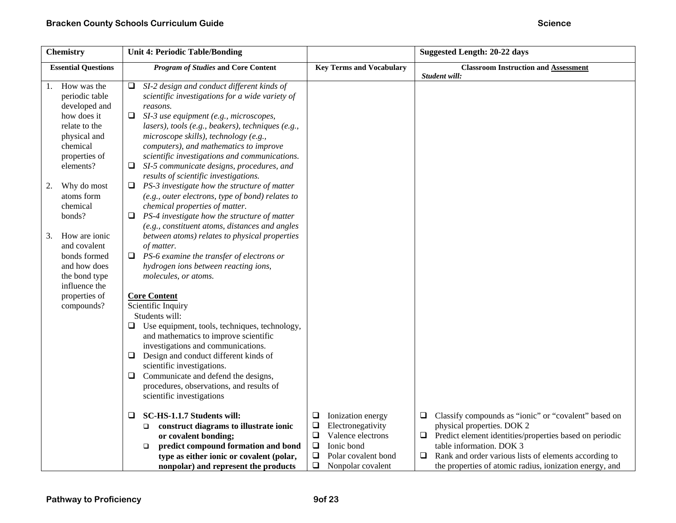| <b>Chemistry</b>                                                                                                                               | <b>Unit 4: Periodic Table/Bonding</b>                                                                                                                                                                                                                                                                                                                                                                    |                                                                                                                                                                         | <b>Suggested Length: 20-22 days</b>                                                                                                                                                                                                                                                                                    |
|------------------------------------------------------------------------------------------------------------------------------------------------|----------------------------------------------------------------------------------------------------------------------------------------------------------------------------------------------------------------------------------------------------------------------------------------------------------------------------------------------------------------------------------------------------------|-------------------------------------------------------------------------------------------------------------------------------------------------------------------------|------------------------------------------------------------------------------------------------------------------------------------------------------------------------------------------------------------------------------------------------------------------------------------------------------------------------|
| <b>Essential Questions</b>                                                                                                                     | <b>Program of Studies and Core Content</b>                                                                                                                                                                                                                                                                                                                                                               | <b>Key Terms and Vocabulary</b>                                                                                                                                         | <b>Classroom Instruction and Assessment</b>                                                                                                                                                                                                                                                                            |
| How was the<br>1.<br>periodic table<br>developed and<br>how does it<br>relate to the<br>physical and<br>chemical<br>properties of<br>elements? | SI-2 design and conduct different kinds of<br>□<br>scientific investigations for a wide variety of<br>reasons.<br>❏<br>SI-3 use equipment (e.g., microscopes,<br>lasers), tools (e.g., beakers), techniques (e.g.,<br>microscope skills), technology (e.g.,<br>computers), and mathematics to improve<br>scientific investigations and communications.<br>SI-5 communicate designs, procedures, and<br>⊔ |                                                                                                                                                                         | Student will:                                                                                                                                                                                                                                                                                                          |
| Why do most<br>2.<br>atoms form<br>chemical<br>bonds?                                                                                          | results of scientific investigations.<br>PS-3 investigate how the structure of matter<br>⊔<br>(e.g., outer electrons, type of bond) relates to<br>chemical properties of matter.<br>PS-4 investigate how the structure of matter<br>(e.g., constituent atoms, distances and angles                                                                                                                       |                                                                                                                                                                         |                                                                                                                                                                                                                                                                                                                        |
| How are ionic<br>3.<br>and covalent<br>bonds formed<br>and how does<br>the bond type<br>influence the                                          | between atoms) relates to physical properties<br>of matter.<br>❏<br>PS-6 examine the transfer of electrons or<br>hydrogen ions between reacting ions,<br>molecules, or atoms.                                                                                                                                                                                                                            |                                                                                                                                                                         |                                                                                                                                                                                                                                                                                                                        |
| properties of<br>compounds?                                                                                                                    | <b>Core Content</b><br>Scientific Inquiry<br>Students will:<br>Use equipment, tools, techniques, technology,<br>⊔<br>and mathematics to improve scientific<br>investigations and communications.<br>Design and conduct different kinds of<br>⊔<br>scientific investigations.<br>Communicate and defend the designs,<br>⊔<br>procedures, observations, and results of<br>scientific investigations        |                                                                                                                                                                         |                                                                                                                                                                                                                                                                                                                        |
|                                                                                                                                                | SC-HS-1.1.7 Students will:<br>□<br>construct diagrams to illustrate ionic<br>□<br>or covalent bonding;<br>predict compound formation and bond<br>$\Box$<br>type as either ionic or covalent (polar,<br>nonpolar) and represent the products                                                                                                                                                              | ❏<br>Ionization energy<br>❏<br>Electronegativity<br>$\Box$<br>Valence electrons<br>$\Box$<br>Ionic bond<br>$\Box$<br>Polar covalent bond<br>$\Box$<br>Nonpolar covalent | Classify compounds as "ionic" or "covalent" based on<br>$\Box$<br>physical properties. DOK 2<br>Predict element identities/properties based on periodic<br>$\Box$<br>table information. DOK 3<br>Rank and order various lists of elements according to<br>⊔<br>the properties of atomic radius, ionization energy, and |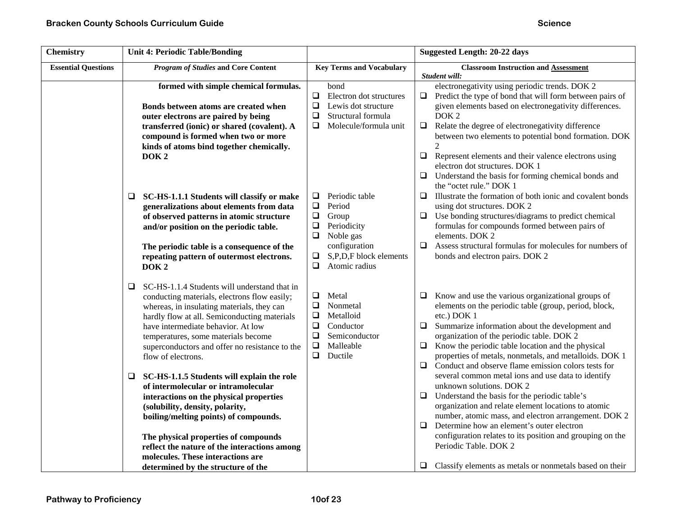| <b>Chemistry</b>           | <b>Unit 4: Periodic Table/Bonding</b>                                                                                                                                                                                                                                                                                                                                                                                                                                                                                                                                                                                                                                                                                                    |                                                                                                                                                                                                 | <b>Suggested Length: 20-22 days</b>                                                                                                                                                                                                                                                                                                                                                                                                                                                                                                                                                                                                                                                                                                                                                                                                                                                                        |
|----------------------------|------------------------------------------------------------------------------------------------------------------------------------------------------------------------------------------------------------------------------------------------------------------------------------------------------------------------------------------------------------------------------------------------------------------------------------------------------------------------------------------------------------------------------------------------------------------------------------------------------------------------------------------------------------------------------------------------------------------------------------------|-------------------------------------------------------------------------------------------------------------------------------------------------------------------------------------------------|------------------------------------------------------------------------------------------------------------------------------------------------------------------------------------------------------------------------------------------------------------------------------------------------------------------------------------------------------------------------------------------------------------------------------------------------------------------------------------------------------------------------------------------------------------------------------------------------------------------------------------------------------------------------------------------------------------------------------------------------------------------------------------------------------------------------------------------------------------------------------------------------------------|
| <b>Essential Questions</b> | <b>Program of Studies and Core Content</b>                                                                                                                                                                                                                                                                                                                                                                                                                                                                                                                                                                                                                                                                                               | <b>Key Terms and Vocabulary</b>                                                                                                                                                                 | <b>Classroom Instruction and Assessment</b><br>Student will:                                                                                                                                                                                                                                                                                                                                                                                                                                                                                                                                                                                                                                                                                                                                                                                                                                               |
|                            | formed with simple chemical formulas.<br>Bonds between atoms are created when<br>outer electrons are paired by being<br>transferred (ionic) or shared (covalent). A<br>compound is formed when two or more<br>kinds of atoms bind together chemically.<br>DOK <sub>2</sub>                                                                                                                                                                                                                                                                                                                                                                                                                                                               | bond<br>$\Box$<br>Electron dot structures<br>$\Box$<br>Lewis dot structure<br>$\Box$<br>Structural formula<br>$\Box$<br>Molecule/formula unit                                                   | electronegativity using periodic trends. DOK 2<br>Predict the type of bond that will form between pairs of<br>⊔<br>given elements based on electronegativity differences.<br>DOK <sub>2</sub><br>Relate the degree of electronegativity difference<br>$\Box$<br>between two elements to potential bond formation. DOK<br>$\mathfrak{D}$<br>$\Box$<br>Represent elements and their valence electrons using<br>electron dot structures. DOK 1<br>Understand the basis for forming chemical bonds and<br>$\Box$<br>the "octet rule." DOK 1                                                                                                                                                                                                                                                                                                                                                                    |
|                            | SC-HS-1.1.1 Students will classify or make<br>⊔<br>generalizations about elements from data<br>of observed patterns in atomic structure<br>and/or position on the periodic table.<br>The periodic table is a consequence of the<br>repeating pattern of outermost electrons.<br>DOK <sub>2</sub>                                                                                                                                                                                                                                                                                                                                                                                                                                         | Periodic table<br>$\Box$<br>$\Box$<br>Period<br>$\Box$<br>Group<br>$\Box$<br>Periodicity<br>$\Box$<br>Noble gas<br>configuration<br>$\Box$<br>S,P,D,F block elements<br>$\Box$<br>Atomic radius | $\Box$<br>Illustrate the formation of both ionic and covalent bonds<br>using dot structures. DOK 2<br>Use bonding structures/diagrams to predict chemical<br>$\Box$<br>formulas for compounds formed between pairs of<br>elements. DOK 2<br>$\Box$<br>Assess structural formulas for molecules for numbers of<br>bonds and electron pairs. DOK 2                                                                                                                                                                                                                                                                                                                                                                                                                                                                                                                                                           |
|                            | SC-HS-1.1.4 Students will understand that in<br>□<br>conducting materials, electrons flow easily;<br>whereas, in insulating materials, they can<br>hardly flow at all. Semiconducting materials<br>have intermediate behavior. At low<br>temperatures, some materials become<br>superconductors and offer no resistance to the<br>flow of electrons.<br>SC-HS-1.1.5 Students will explain the role<br>□<br>of intermolecular or intramolecular<br>interactions on the physical properties<br>(solubility, density, polarity,<br>boiling/melting points) of compounds.<br>The physical properties of compounds<br>reflect the nature of the interactions among<br>molecules. These interactions are<br>determined by the structure of the | $\Box$<br>Metal<br>$\Box$<br>Nonmetal<br>$\Box$<br>Metalloid<br>$\Box$<br>Conductor<br>$\Box$<br>Semiconductor<br>$\Box$<br>Malleable<br>$\Box$<br>Ductile                                      | $\Box$ Know and use the various organizational groups of<br>elements on the periodic table (group, period, block,<br>etc.) DOK 1<br>Summarize information about the development and<br>□<br>organization of the periodic table. DOK 2<br>Know the periodic table location and the physical<br>$\Box$<br>properties of metals, nonmetals, and metalloids. DOK 1<br>Conduct and observe flame emission colors tests for<br>$\Box$<br>several common metal ions and use data to identify<br>unknown solutions. DOK 2<br>$\Box$<br>Understand the basis for the periodic table's<br>organization and relate element locations to atomic<br>number, atomic mass, and electron arrangement. DOK 2<br>Determine how an element's outer electron<br>$\Box$<br>configuration relates to its position and grouping on the<br>Periodic Table. DOK 2<br>$\Box$ Classify elements as metals or nonmetals based on their |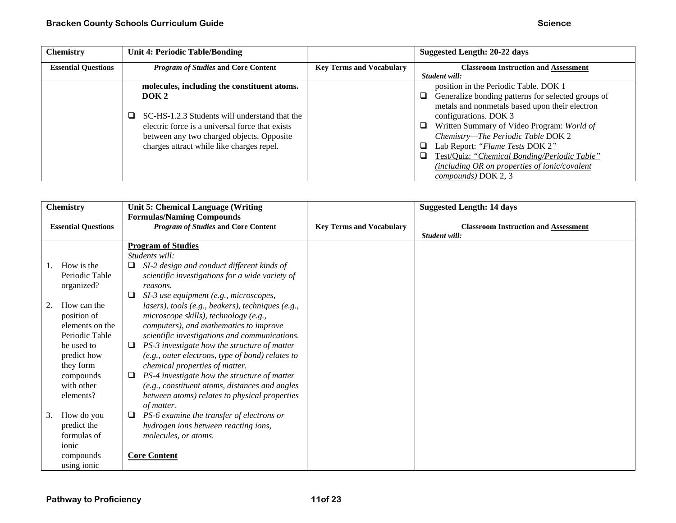| <b>Chemistry</b>           | Unit 4: Periodic Table/Bonding                  |                                 | Suggested Length: 20-22 days                            |
|----------------------------|-------------------------------------------------|---------------------------------|---------------------------------------------------------|
| <b>Essential Questions</b> | <b>Program of Studies and Core Content</b>      | <b>Key Terms and Vocabulary</b> | <b>Classroom Instruction and Assessment</b>             |
|                            |                                                 |                                 | Student will:                                           |
|                            | molecules, including the constituent atoms.     |                                 | position in the Periodic Table. DOK 1                   |
|                            | DOK <sub>2</sub>                                |                                 | Generalize bonding patterns for selected groups of<br>□ |
|                            |                                                 |                                 | metals and nonmetals based upon their electron          |
|                            | SC-HS-1.2.3 Students will understand that the   |                                 | configurations. DOK 3                                   |
|                            | electric force is a universal force that exists |                                 | Written Summary of Video Program: World of<br>□         |
|                            | between any two charged objects. Opposite       |                                 | Chemistry-The Periodic Table DOK 2                      |
|                            | charges attract while like charges repel.       |                                 | a.<br>Lab Report: "Flame Tests DOK 2"                   |
|                            |                                                 |                                 | Test/Quiz: "Chemical Bonding/Periodic Table"<br>n.      |
|                            |                                                 |                                 | (including OR on properties of ionic/covalent           |
|                            |                                                 |                                 | compounds) DOK 2, 3                                     |

| <b>Chemistry</b> |                            | Unit 5: Chemical Language (Writing |                                                   |                                 | <b>Suggested Length: 14 days</b>            |
|------------------|----------------------------|------------------------------------|---------------------------------------------------|---------------------------------|---------------------------------------------|
|                  |                            |                                    | <b>Formulas/Naming Compounds</b>                  |                                 |                                             |
|                  | <b>Essential Questions</b> |                                    | <b>Program of Studies and Core Content</b>        | <b>Key Terms and Vocabulary</b> | <b>Classroom Instruction and Assessment</b> |
|                  |                            |                                    |                                                   |                                 | Student will:                               |
|                  |                            |                                    | <b>Program of Studies</b>                         |                                 |                                             |
|                  |                            |                                    | Students will:                                    |                                 |                                             |
|                  | How is the                 |                                    | SI-2 design and conduct different kinds of        |                                 |                                             |
|                  | Periodic Table             |                                    | scientific investigations for a wide variety of   |                                 |                                             |
|                  | organized?                 |                                    | reasons.                                          |                                 |                                             |
|                  |                            |                                    | SI-3 use equipment (e.g., microscopes,            |                                 |                                             |
|                  | How can the                |                                    | lasers), tools (e.g., beakers), techniques (e.g., |                                 |                                             |
|                  | position of                |                                    | microscope skills), technology (e.g.,             |                                 |                                             |
|                  | elements on the            |                                    | computers), and mathematics to improve            |                                 |                                             |
|                  | Periodic Table             |                                    | scientific investigations and communications.     |                                 |                                             |
|                  | be used to                 |                                    | PS-3 investigate how the structure of matter      |                                 |                                             |
|                  | predict how                |                                    | (e.g., outer electrons, type of bond) relates to  |                                 |                                             |
|                  | they form                  |                                    | chemical properties of matter.                    |                                 |                                             |
|                  | compounds                  |                                    | PS-4 investigate how the structure of matter      |                                 |                                             |
|                  | with other                 |                                    | (e.g., constituent atoms, distances and angles    |                                 |                                             |
|                  | elements?                  |                                    | between atoms) relates to physical properties     |                                 |                                             |
|                  |                            |                                    | of matter.                                        |                                 |                                             |
| 3.               | How do you                 |                                    | PS-6 examine the transfer of electrons or         |                                 |                                             |
|                  | predict the                |                                    | hydrogen ions between reacting ions,              |                                 |                                             |
|                  | formulas of                |                                    | molecules, or atoms.                              |                                 |                                             |
|                  | ionic                      |                                    |                                                   |                                 |                                             |
|                  | compounds                  |                                    | <b>Core Content</b>                               |                                 |                                             |
|                  | using ionic                |                                    |                                                   |                                 |                                             |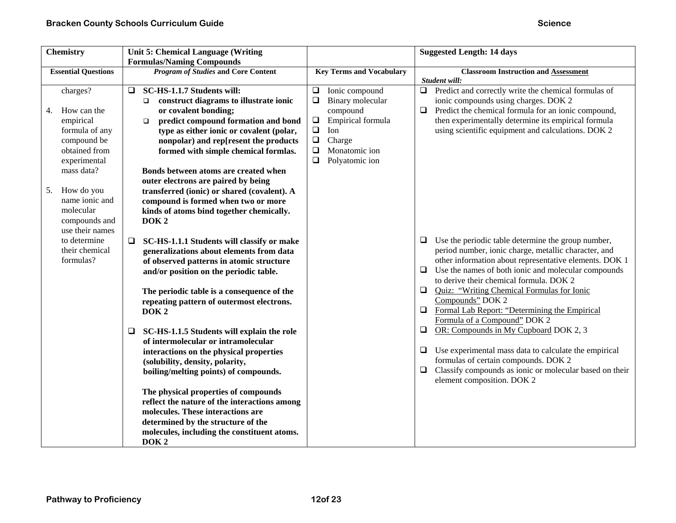| <b>Chemistry</b>                                                                                                                                                                               | <b>Unit 5: Chemical Language (Writing</b>                                                                                                                                                                                                                                                                                                                                                                                                                                                                                       |                                                                                                                                                                                               | <b>Suggested Length: 14 days</b>                                                                                                                                                                                                                                                                                                                                                                                             |
|------------------------------------------------------------------------------------------------------------------------------------------------------------------------------------------------|---------------------------------------------------------------------------------------------------------------------------------------------------------------------------------------------------------------------------------------------------------------------------------------------------------------------------------------------------------------------------------------------------------------------------------------------------------------------------------------------------------------------------------|-----------------------------------------------------------------------------------------------------------------------------------------------------------------------------------------------|------------------------------------------------------------------------------------------------------------------------------------------------------------------------------------------------------------------------------------------------------------------------------------------------------------------------------------------------------------------------------------------------------------------------------|
| <b>Essential Questions</b>                                                                                                                                                                     | <b>Formulas/Naming Compounds</b><br><b>Program of Studies and Core Content</b>                                                                                                                                                                                                                                                                                                                                                                                                                                                  | <b>Key Terms and Vocabulary</b>                                                                                                                                                               | <b>Classroom Instruction and Assessment</b><br>Student will:                                                                                                                                                                                                                                                                                                                                                                 |
| charges?<br>How can the<br>4.<br>empirical<br>formula of any<br>compound be<br>obtained from<br>experimental<br>mass data?<br>How do you<br>5.<br>name ionic and<br>molecular<br>compounds and | SC-HS-1.1.7 Students will:<br>0.<br>construct diagrams to illustrate ionic<br>$\Box$<br>or covalent bonding;<br>predict compound formation and bond<br>$\Box$<br>type as either ionic or covalent (polar,<br>nonpolar) and rep[resent the products<br>formed with simple chemical formlas.<br>Bonds between atoms are created when<br>outer electrons are paired by being<br>transferred (ionic) or shared (covalent). A<br>compound is formed when two or more<br>kinds of atoms bind together chemically.<br>DOK <sub>2</sub> | Ionic compound<br>$\Box$<br>$\Box$<br>Binary molecular<br>compound<br>$\Box$<br>Empirical formula<br>$\Box$<br>Ion<br>$\Box$<br>Charge<br>$\Box$<br>Monatomic ion<br>$\Box$<br>Polyatomic ion | $\Box$<br>Predict and correctly write the chemical formulas of<br>ionic compounds using charges. DOK 2<br>Predict the chemical formula for an ionic compound,<br>$\Box$<br>then experimentally determine its empirical formula<br>using scientific equipment and calculations. DOK 2                                                                                                                                         |
| use their names<br>to determine<br>their chemical<br>formulas?                                                                                                                                 | SC-HS-1.1.1 Students will classify or make<br>$\Box$<br>generalizations about elements from data<br>of observed patterns in atomic structure<br>and/or position on the periodic table.<br>The periodic table is a consequence of the<br>repeating pattern of outermost electrons.<br>DOK <sub>2</sub>                                                                                                                                                                                                                           |                                                                                                                                                                                               | Use the periodic table determine the group number,<br>⊔<br>period number, ionic charge, metallic character, and<br>other information about representative elements. DOK 1<br>Use the names of both ionic and molecular compounds<br>$\Box$<br>to derive their chemical formula. DOK 2<br>Quiz: "Writing Chemical Formulas for Ionic<br>$\Box$<br>Compounds" DOK 2<br>$\Box$<br>Formal Lab Report: "Determining the Empirical |
|                                                                                                                                                                                                | SC-HS-1.1.5 Students will explain the role<br>❏<br>of intermolecular or intramolecular<br>interactions on the physical properties<br>(solubility, density, polarity,<br>boiling/melting points) of compounds.<br>The physical properties of compounds<br>reflect the nature of the interactions among<br>molecules. These interactions are<br>determined by the structure of the<br>molecules, including the constituent atoms.<br>DOK <sub>2</sub>                                                                             |                                                                                                                                                                                               | Formula of a Compound" DOK 2<br>OR: Compounds in My Cupboard DOK 2, 3<br>$\Box$<br>Use experimental mass data to calculate the empirical<br>$\Box$<br>formulas of certain compounds. DOK 2<br>Classify compounds as ionic or molecular based on their<br>$\Box$<br>element composition. DOK 2                                                                                                                                |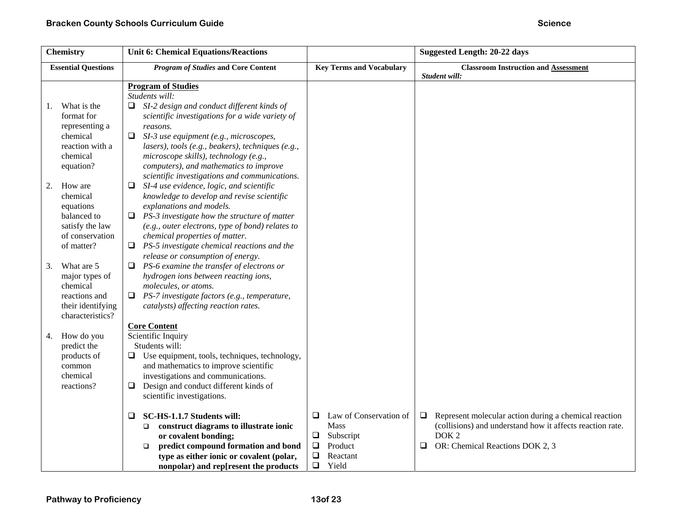| <b>Chemistry</b>                                                                                          | <b>Unit 6: Chemical Equations/Reactions</b>                                                                                                                                                                                                                                                                                                                 |                                                                                                                            | <b>Suggested Length: 20-22 days</b>                                                                                                                                                      |
|-----------------------------------------------------------------------------------------------------------|-------------------------------------------------------------------------------------------------------------------------------------------------------------------------------------------------------------------------------------------------------------------------------------------------------------------------------------------------------------|----------------------------------------------------------------------------------------------------------------------------|------------------------------------------------------------------------------------------------------------------------------------------------------------------------------------------|
| <b>Essential Questions</b>                                                                                | <b>Program of Studies and Core Content</b>                                                                                                                                                                                                                                                                                                                  | <b>Key Terms and Vocabulary</b>                                                                                            | <b>Classroom Instruction and Assessment</b><br>Student will:                                                                                                                             |
| What is the<br>1.                                                                                         | <b>Program of Studies</b><br>Students will:<br>SI-2 design and conduct different kinds of                                                                                                                                                                                                                                                                   |                                                                                                                            |                                                                                                                                                                                          |
| format for<br>representing a<br>chemical<br>reaction with a<br>chemical<br>equation?                      | scientific investigations for a wide variety of<br>reasons.<br>$\Box$<br>SI-3 use equipment (e.g., microscopes,<br>lasers), tools (e.g., beakers), techniques (e.g.,<br>microscope skills), technology (e.g.,<br>computers), and mathematics to improve<br>scientific investigations and communications.                                                    |                                                                                                                            |                                                                                                                                                                                          |
| 2.<br>How are<br>chemical<br>equations<br>balanced to<br>satisfy the law<br>of conservation<br>of matter? | SI-4 use evidence, logic, and scientific<br>⊔<br>knowledge to develop and revise scientific<br>explanations and models.<br>PS-3 investigate how the structure of matter<br>□<br>(e.g., outer electrons, type of bond) relates to<br>chemical properties of matter.<br>PS-5 investigate chemical reactions and the<br>⊔<br>release or consumption of energy. |                                                                                                                            |                                                                                                                                                                                          |
| What are 5<br>3.<br>major types of<br>chemical<br>reactions and<br>their identifying<br>characteristics?  | PS-6 examine the transfer of electrons or<br>⊔<br>hydrogen ions between reacting ions,<br>molecules, or atoms.<br>PS-7 investigate factors (e.g., temperature,<br>catalysts) affecting reaction rates.                                                                                                                                                      |                                                                                                                            |                                                                                                                                                                                          |
| How do you<br>4.<br>predict the<br>products of<br>common<br>chemical<br>reactions?                        | <b>Core Content</b><br>Scientific Inquiry<br>Students will:<br>Use equipment, tools, techniques, technology,<br>⊔<br>and mathematics to improve scientific<br>investigations and communications.<br>Design and conduct different kinds of<br>⊔<br>scientific investigations.                                                                                |                                                                                                                            |                                                                                                                                                                                          |
|                                                                                                           | SC-HS-1.1.7 Students will:<br>$\Box$<br>construct diagrams to illustrate ionic<br>$\Box$<br>or covalent bonding;<br>predict compound formation and bond<br>$\Box$<br>type as either ionic or covalent (polar,<br>nonpolar) and rep[resent the products                                                                                                      | Law of Conservation of<br>Q<br><b>Mass</b><br>$\Box$<br>Subscript<br>$\Box$<br>Product<br>❏<br>Reactant<br>$\Box$<br>Yield | Represent molecular action during a chemical reaction<br>⊔<br>(collisions) and understand how it affects reaction rate.<br>DOK <sub>2</sub><br>$\Box$<br>OR: Chemical Reactions DOK 2, 3 |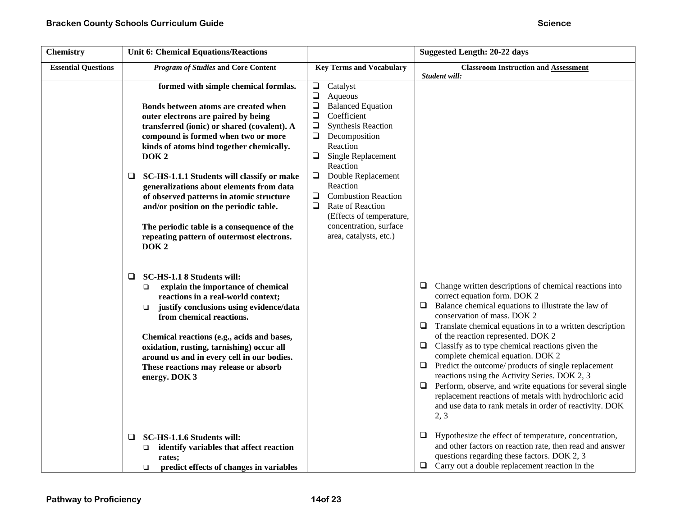| <b>Chemistry</b>           | <b>Unit 6: Chemical Equations/Reactions</b>                                                                                                                                                                                                                                                                                                                                                                                                                                                                                                                                   |                                                                                                                                                                                                                                                                                                                                                                                                                  | Suggested Length: 20-22 days                                                                                                                                                                                                                                                                                                                                                                                                                                                                                                                                                                                                                                                                                                 |
|----------------------------|-------------------------------------------------------------------------------------------------------------------------------------------------------------------------------------------------------------------------------------------------------------------------------------------------------------------------------------------------------------------------------------------------------------------------------------------------------------------------------------------------------------------------------------------------------------------------------|------------------------------------------------------------------------------------------------------------------------------------------------------------------------------------------------------------------------------------------------------------------------------------------------------------------------------------------------------------------------------------------------------------------|------------------------------------------------------------------------------------------------------------------------------------------------------------------------------------------------------------------------------------------------------------------------------------------------------------------------------------------------------------------------------------------------------------------------------------------------------------------------------------------------------------------------------------------------------------------------------------------------------------------------------------------------------------------------------------------------------------------------------|
| <b>Essential Questions</b> | <b>Program of Studies and Core Content</b>                                                                                                                                                                                                                                                                                                                                                                                                                                                                                                                                    | <b>Key Terms and Vocabulary</b>                                                                                                                                                                                                                                                                                                                                                                                  | <b>Classroom Instruction and Assessment</b><br>Student will:                                                                                                                                                                                                                                                                                                                                                                                                                                                                                                                                                                                                                                                                 |
|                            | formed with simple chemical formlas.<br>Bonds between atoms are created when<br>outer electrons are paired by being<br>transferred (ionic) or shared (covalent). A<br>compound is formed when two or more<br>kinds of atoms bind together chemically.<br>DOK <sub>2</sub><br>SC-HS-1.1.1 Students will classify or make<br>□<br>generalizations about elements from data<br>of observed patterns in atomic structure<br>and/or position on the periodic table.<br>The periodic table is a consequence of the<br>repeating pattern of outermost electrons.<br>DOK <sub>2</sub> | $\Box$ Catalyst<br>$\Box$<br>Aqueous<br>$\Box$<br><b>Balanced Equation</b><br>$\Box$<br>Coefficient<br>❏<br><b>Synthesis Reaction</b><br>$\Box$<br>Decomposition<br>Reaction<br>$\Box$<br>Single Replacement<br>Reaction<br>Double Replacement<br>❏<br>Reaction<br>$\Box$<br><b>Combustion Reaction</b><br>0<br>Rate of Reaction<br>(Effects of temperature,<br>concentration, surface<br>area, catalysts, etc.) |                                                                                                                                                                                                                                                                                                                                                                                                                                                                                                                                                                                                                                                                                                                              |
|                            | SC-HS-1.1 8 Students will:<br>$\Box$<br>explain the importance of chemical<br>$\Box$<br>reactions in a real-world context;<br>justify conclusions using evidence/data<br>$\Box$<br>from chemical reactions.<br>Chemical reactions (e.g., acids and bases,<br>oxidation, rusting, tarnishing) occur all<br>around us and in every cell in our bodies.<br>These reactions may release or absorb<br>energy. DOK 3                                                                                                                                                                |                                                                                                                                                                                                                                                                                                                                                                                                                  | Change written descriptions of chemical reactions into<br>$\Box$<br>correct equation form. DOK 2<br>Balance chemical equations to illustrate the law of<br>$\Box$<br>conservation of mass. DOK 2<br>Translate chemical equations in to a written description<br>□<br>of the reaction represented. DOK 2<br>Classify as to type chemical reactions given the<br>$\Box$<br>complete chemical equation. DOK 2<br>$\Box$ Predict the outcome/ products of single replacement<br>reactions using the Activity Series. DOK 2, 3<br>Perform, observe, and write equations for several single<br>$\Box$<br>replacement reactions of metals with hydrochloric acid<br>and use data to rank metals in order of reactivity. DOK<br>2, 3 |
|                            | SC-HS-1.1.6 Students will:<br>□<br>identify variables that affect reaction<br>$\Box$<br>rates;<br>predict effects of changes in variables<br>$\Box$                                                                                                                                                                                                                                                                                                                                                                                                                           |                                                                                                                                                                                                                                                                                                                                                                                                                  | Hypothesize the effect of temperature, concentration,<br>❏<br>and other factors on reaction rate, then read and answer<br>questions regarding these factors. DOK 2, 3<br>$\Box$ Carry out a double replacement reaction in the                                                                                                                                                                                                                                                                                                                                                                                                                                                                                               |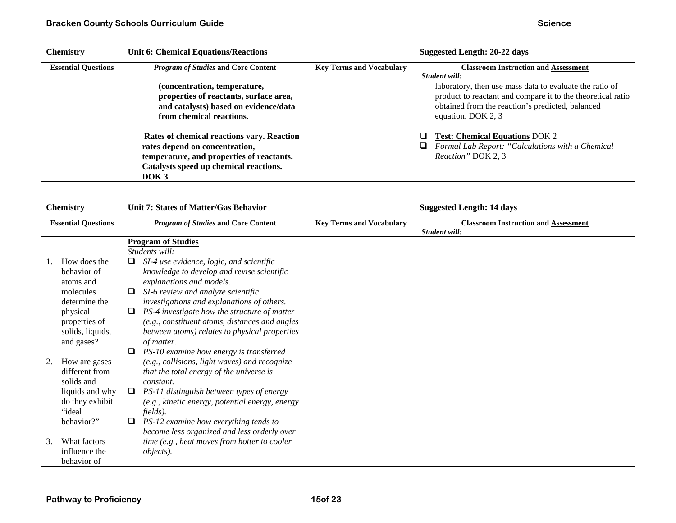| <b>Chemistry</b>           | <b>Unit 6: Chemical Equations/Reactions</b>                                                                                                                                             |                                 | Suggested Length: 20-22 days                                                                                                                                                                                      |
|----------------------------|-----------------------------------------------------------------------------------------------------------------------------------------------------------------------------------------|---------------------------------|-------------------------------------------------------------------------------------------------------------------------------------------------------------------------------------------------------------------|
| <b>Essential Questions</b> | <b>Program of Studies and Core Content</b>                                                                                                                                              | <b>Key Terms and Vocabulary</b> | <b>Classroom Instruction and Assessment</b>                                                                                                                                                                       |
|                            | (concentration, temperature,<br>properties of reactants, surface area,<br>and catalysts) based on evidence/data<br>from chemical reactions.                                             |                                 | Student will:<br>laboratory, then use mass data to evaluate the ratio of<br>product to reactant and compare it to the theoretical ratio<br>obtained from the reaction's predicted, balanced<br>equation. DOK 2, 3 |
|                            | Rates of chemical reactions vary. Reaction<br>rates depend on concentration,<br>temperature, and properties of reactants.<br>Catalysts speed up chemical reactions.<br>DOK <sub>3</sub> |                                 | <b>Test: Chemical Equations DOK 2</b><br>Formal Lab Report: "Calculations with a Chemical<br>$\Box$<br>Reaction" DOK 2, 3                                                                                         |

|    | <b>Chemistry</b>                                                                                                          | Unit 7: States of Matter/Gas Behavior                                                                                                                                                                                                                                                                                                                                                                                   |                                 | <b>Suggested Length: 14 days</b>                             |
|----|---------------------------------------------------------------------------------------------------------------------------|-------------------------------------------------------------------------------------------------------------------------------------------------------------------------------------------------------------------------------------------------------------------------------------------------------------------------------------------------------------------------------------------------------------------------|---------------------------------|--------------------------------------------------------------|
|    | <b>Essential Questions</b>                                                                                                | <b>Program of Studies and Core Content</b>                                                                                                                                                                                                                                                                                                                                                                              | <b>Key Terms and Vocabulary</b> | <b>Classroom Instruction and Assessment</b><br>Student will: |
|    | How does the<br>behavior of<br>atoms and<br>molecules<br>determine the<br>physical<br>properties of<br>solids, liquids,   | <b>Program of Studies</b><br>Students will:<br>SI-4 use evidence, logic, and scientific<br>□<br>knowledge to develop and revise scientific<br>explanations and models.<br>SI-6 review and analyze scientific<br>□<br>investigations and explanations of others.<br>PS-4 investigate how the structure of matter<br>⊔<br>(e.g., constituent atoms, distances and angles<br>between atoms) relates to physical properties |                                 |                                                              |
| 2. | and gases?<br>How are gases<br>different from<br>solids and<br>liquids and why<br>do they exhibit<br>"ideal<br>behavior?" | of matter.<br>PS-10 examine how energy is transferred<br>(e.g., collisions, light waves) and recognize<br>that the total energy of the universe is<br>constant.<br>PS-11 distinguish between types of energy<br>□<br>(e.g., kinetic energy, potential energy, energy<br>fields).<br>PS-12 examine how everything tends to                                                                                               |                                 |                                                              |
| 3. | What factors<br>influence the<br>behavior of                                                                              | become less organized and less orderly over<br>time (e.g., heat moves from hotter to cooler<br><i>objects</i> ).                                                                                                                                                                                                                                                                                                        |                                 |                                                              |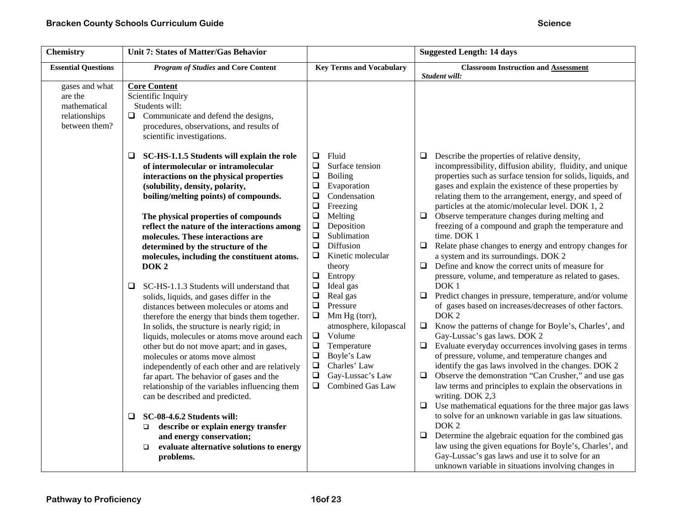| <b>Chemistry</b>                                                            | Unit 7: States of Matter/Gas Behavior                                                                                                                                                                                                                                                                                                                                                                                                                                                                                                                        |                                                                                                                                                                                                                                                                                    | <b>Suggested Length: 14 days</b>                                                                                                                                                                                                                                                                                                                                                                                                                                                                                                                                                                                                                                                                                      |
|-----------------------------------------------------------------------------|--------------------------------------------------------------------------------------------------------------------------------------------------------------------------------------------------------------------------------------------------------------------------------------------------------------------------------------------------------------------------------------------------------------------------------------------------------------------------------------------------------------------------------------------------------------|------------------------------------------------------------------------------------------------------------------------------------------------------------------------------------------------------------------------------------------------------------------------------------|-----------------------------------------------------------------------------------------------------------------------------------------------------------------------------------------------------------------------------------------------------------------------------------------------------------------------------------------------------------------------------------------------------------------------------------------------------------------------------------------------------------------------------------------------------------------------------------------------------------------------------------------------------------------------------------------------------------------------|
| <b>Essential Questions</b>                                                  | <b>Program of Studies and Core Content</b>                                                                                                                                                                                                                                                                                                                                                                                                                                                                                                                   | <b>Key Terms and Vocabulary</b>                                                                                                                                                                                                                                                    | <b>Classroom Instruction and Assessment</b><br>Student will:                                                                                                                                                                                                                                                                                                                                                                                                                                                                                                                                                                                                                                                          |
| gases and what<br>are the<br>mathematical<br>relationships<br>between them? | <b>Core Content</b><br>Scientific Inquiry<br>Students will:<br>$\Box$ Communicate and defend the designs,<br>procedures, observations, and results of<br>scientific investigations.                                                                                                                                                                                                                                                                                                                                                                          | Fluid<br>$\Box$                                                                                                                                                                                                                                                                    |                                                                                                                                                                                                                                                                                                                                                                                                                                                                                                                                                                                                                                                                                                                       |
|                                                                             | SC-HS-1.1.5 Students will explain the role<br>Q.<br>of intermolecular or intramolecular<br>interactions on the physical properties<br>(solubility, density, polarity,<br>boiling/melting points) of compounds.<br>The physical properties of compounds<br>reflect the nature of the interactions among<br>molecules. These interactions are<br>determined by the structure of the<br>molecules, including the constituent atoms.<br>DOK <sub>2</sub>                                                                                                         | $\Box$<br>Surface tension<br>$\Box$<br>Boiling<br>$\Box$<br>Evaporation<br>$\Box$<br>Condensation<br>$\Box$<br>Freezing<br>$\Box$<br>Melting<br>$\Box$<br>Deposition<br>$\Box$<br>Sublimation<br>$\Box$<br>Diffusion<br>$\Box$<br>Kinetic molecular<br>theory<br>$\Box$<br>Entropy | Describe the properties of relative density,<br>❏<br>incompressibility, diffusion ability, fluidity, and unique<br>properties such as surface tension for solids, liquids, and<br>gases and explain the existence of these properties by<br>relating them to the arrangement, energy, and speed of<br>particles at the atomic/molecular level. DOK 1, 2<br>$\Box$ Observe temperature changes during melting and<br>freezing of a compound and graph the temperature and<br>time. DOK 1<br>$\Box$ Relate phase changes to energy and entropy changes for<br>a system and its surroundings. DOK 2<br>$\Box$ Define and know the correct units of measure for<br>pressure, volume, and temperature as related to gases. |
|                                                                             | SC-HS-1.1.3 Students will understand that<br>Q.<br>solids, liquids, and gases differ in the<br>distances between molecules or atoms and<br>therefore the energy that binds them together.<br>In solids, the structure is nearly rigid; in<br>liquids, molecules or atoms move around each<br>other but do not move apart; and in gases,<br>molecules or atoms move almost<br>independently of each other and are relatively<br>far apart. The behavior of gases and the<br>relationship of the variables influencing them<br>can be described and predicted. | $\Box$<br>Ideal gas<br>Real gas<br>$\Box$<br>$\Box$<br>Pressure<br>$\Box$<br>Mm Hg (torr),<br>atmosphere, kilopascal<br>$\Box$<br>Volume<br>$\Box$<br>Temperature<br>$\Box$<br>Boyle's Law<br>$\Box$<br>Charles' Law<br>Gay-Lussac's Law<br>$\Box$<br>Combined Gas Law<br>$\Box$   | DOK <sub>1</sub><br>$\Box$ Predict changes in pressure, temperature, and/or volume<br>of gases based on increases/decreases of other factors.<br>DOK <sub>2</sub><br>$\Box$ Know the patterns of change for Boyle's, Charles', and<br>Gay-Lussac's gas laws. DOK 2<br>Evaluate everyday occurrences involving gases in terms<br>$\Box$<br>of pressure, volume, and temperature changes and<br>identify the gas laws involved in the changes. DOK 2<br>Observe the demonstration "Can Crusher," and use gas<br>$\Box$<br>law terms and principles to explain the observations in<br>writing. DOK 2,3<br>Use mathematical equations for the three major gas laws<br>$\Box$                                              |
|                                                                             | SC-08-4.6.2 Students will:<br>Q<br>describe or explain energy transfer<br>□<br>and energy conservation;<br>evaluate alternative solutions to energy<br>❏<br>problems.                                                                                                                                                                                                                                                                                                                                                                                        |                                                                                                                                                                                                                                                                                    | to solve for an unknown variable in gas law situations.<br>DOK <sub>2</sub><br>$\Box$<br>Determine the algebraic equation for the combined gas<br>law using the given equations for Boyle's, Charles', and<br>Gay-Lussac's gas laws and use it to solve for an<br>unknown variable in situations involving changes in                                                                                                                                                                                                                                                                                                                                                                                                 |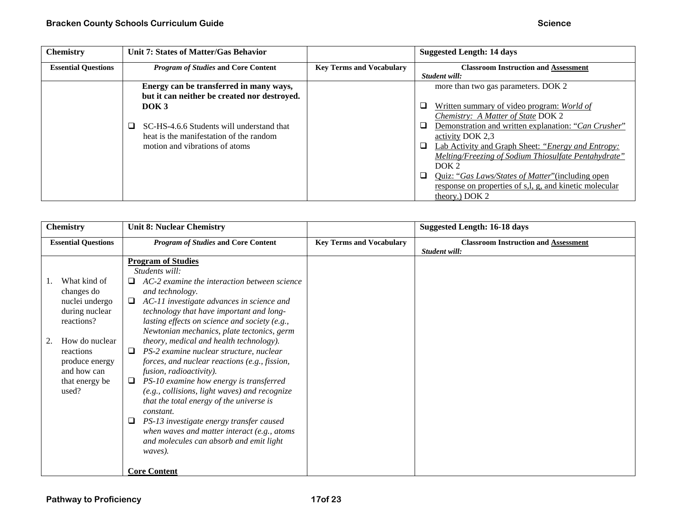| <b>Chemistry</b>           | <b>Unit 7: States of Matter/Gas Behavior</b> |                                 | <b>Suggested Length: 14 days</b>                                   |
|----------------------------|----------------------------------------------|---------------------------------|--------------------------------------------------------------------|
| <b>Essential Questions</b> | <b>Program of Studies and Core Content</b>   | <b>Key Terms and Vocabulary</b> | <b>Classroom Instruction and Assessment</b>                        |
|                            |                                              |                                 | Student will:                                                      |
|                            | Energy can be transferred in many ways,      |                                 | more than two gas parameters. DOK 2                                |
|                            | but it can neither be created nor destroyed. |                                 |                                                                    |
|                            | DOK <sub>3</sub>                             |                                 | $\Box$<br>Written summary of video program: World of               |
|                            |                                              |                                 | Chemistry: A Matter of State DOK 2                                 |
|                            | SC-HS-4.6.6 Students will understand that    |                                 | ◻<br>Demonstration and written explanation: "Can Crusher"          |
|                            | heat is the manifestation of the random      |                                 | activity DOK 2.3                                                   |
|                            | motion and vibrations of atoms               |                                 | $\Box$<br>Lab Activity and Graph Sheet: "Energy and Entropy:       |
|                            |                                              |                                 | Melting/Freezing of Sodium Thiosulfate Pentahydrate"               |
|                            |                                              |                                 | DOK <sub>2</sub>                                                   |
|                            |                                              |                                 | $\Box$<br><u>Quiz: "Gas Laws/States of Matter" (including open</u> |
|                            |                                              |                                 | response on properties of s,l, g, and kinetic molecular            |
|                            |                                              |                                 | theory.) DOK 2                                                     |

| <b>Chemistry</b>                                                                                                                                                        | <b>Unit 8: Nuclear Chemistry</b>                                                                                                                                                                                                                                                                                                                                                                                                                                                                                                                                                                                                                                                                                                                                                                                               |                                 | Suggested Length: 16-18 days                                 |
|-------------------------------------------------------------------------------------------------------------------------------------------------------------------------|--------------------------------------------------------------------------------------------------------------------------------------------------------------------------------------------------------------------------------------------------------------------------------------------------------------------------------------------------------------------------------------------------------------------------------------------------------------------------------------------------------------------------------------------------------------------------------------------------------------------------------------------------------------------------------------------------------------------------------------------------------------------------------------------------------------------------------|---------------------------------|--------------------------------------------------------------|
| <b>Essential Questions</b>                                                                                                                                              | <b>Program of Studies and Core Content</b>                                                                                                                                                                                                                                                                                                                                                                                                                                                                                                                                                                                                                                                                                                                                                                                     | <b>Key Terms and Vocabulary</b> | <b>Classroom Instruction and Assessment</b><br>Student will: |
| What kind of<br>changes do<br>nuclei undergo<br>during nuclear<br>reactions?<br>How do nuclear<br>reactions<br>produce energy<br>and how can<br>that energy be<br>used? | <b>Program of Studies</b><br>Students will:<br>AC-2 examine the interaction between science<br>⊔<br>and technology.<br>$\Box$<br>AC-11 investigate advances in science and<br>technology that have important and long-<br>lasting effects on science and society (e.g.,<br>Newtonian mechanics, plate tectonics, germ<br>theory, medical and health technology).<br>PS-2 examine nuclear structure, nuclear<br>⊔<br>forces, and nuclear reactions (e.g., fission,<br>fusion, radioactivity).<br>PS-10 examine how energy is transferred<br>(e.g., collisions, light waves) and recognize<br>that the total energy of the universe is<br>constant.<br>PS-13 investigate energy transfer caused<br>⊔<br>when waves and matter interact (e.g., atoms<br>and molecules can absorb and emit light<br>waves).<br><b>Core Content</b> |                                 |                                                              |
|                                                                                                                                                                         |                                                                                                                                                                                                                                                                                                                                                                                                                                                                                                                                                                                                                                                                                                                                                                                                                                |                                 |                                                              |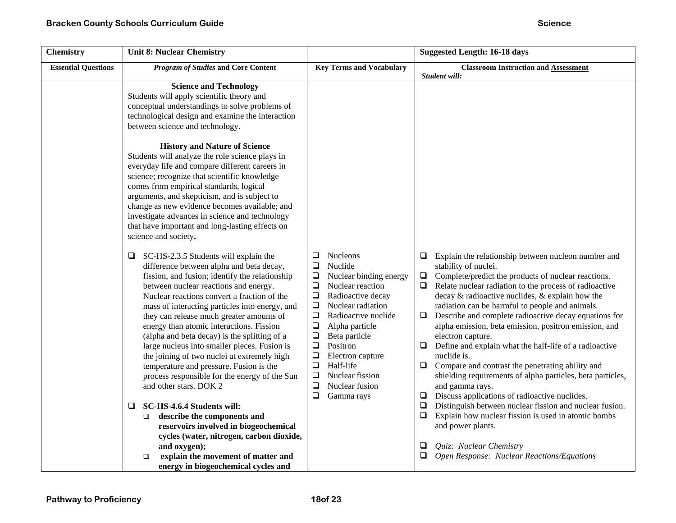| <b>Chemistry</b>           | <b>Unit 8: Nuclear Chemistry</b>                                                                                                                                                                                                                                                                                                                                                                                                                                                                                                                                                                                                                |                                                                                                                                                                                                                                                                                                                                                                                                                          | <b>Suggested Length: 16-18 days</b>                                                                                                                                                                                                                                                                                                                                                                                                                                                                                                                                                                                                                                                                                                                                      |
|----------------------------|-------------------------------------------------------------------------------------------------------------------------------------------------------------------------------------------------------------------------------------------------------------------------------------------------------------------------------------------------------------------------------------------------------------------------------------------------------------------------------------------------------------------------------------------------------------------------------------------------------------------------------------------------|--------------------------------------------------------------------------------------------------------------------------------------------------------------------------------------------------------------------------------------------------------------------------------------------------------------------------------------------------------------------------------------------------------------------------|--------------------------------------------------------------------------------------------------------------------------------------------------------------------------------------------------------------------------------------------------------------------------------------------------------------------------------------------------------------------------------------------------------------------------------------------------------------------------------------------------------------------------------------------------------------------------------------------------------------------------------------------------------------------------------------------------------------------------------------------------------------------------|
| <b>Essential Questions</b> | <b>Program of Studies and Core Content</b>                                                                                                                                                                                                                                                                                                                                                                                                                                                                                                                                                                                                      | <b>Key Terms and Vocabulary</b>                                                                                                                                                                                                                                                                                                                                                                                          | <b>Classroom Instruction and Assessment</b>                                                                                                                                                                                                                                                                                                                                                                                                                                                                                                                                                                                                                                                                                                                              |
|                            | <b>Science and Technology</b><br>Students will apply scientific theory and<br>conceptual understandings to solve problems of<br>technological design and examine the interaction<br>between science and technology.<br><b>History and Nature of Science</b><br>Students will analyze the role science plays in<br>everyday life and compare different careers in<br>science; recognize that scientific knowledge                                                                                                                                                                                                                                |                                                                                                                                                                                                                                                                                                                                                                                                                          | Student will:                                                                                                                                                                                                                                                                                                                                                                                                                                                                                                                                                                                                                                                                                                                                                            |
|                            | comes from empirical standards, logical<br>arguments, and skepticism, and is subject to<br>change as new evidence becomes available; and<br>investigate advances in science and technology<br>that have important and long-lasting effects on<br>science and society.                                                                                                                                                                                                                                                                                                                                                                           |                                                                                                                                                                                                                                                                                                                                                                                                                          |                                                                                                                                                                                                                                                                                                                                                                                                                                                                                                                                                                                                                                                                                                                                                                          |
|                            | SC-HS-2.3.5 Students will explain the<br>❏<br>difference between alpha and beta decay,<br>fission, and fusion; identify the relationship<br>between nuclear reactions and energy.<br>Nuclear reactions convert a fraction of the<br>mass of interacting particles into energy, and<br>they can release much greater amounts of<br>energy than atomic interactions. Fission<br>(alpha and beta decay) is the splitting of a<br>large nucleus into smaller pieces. Fusion is<br>the joining of two nuclei at extremely high<br>temperature and pressure. Fusion is the<br>process responsible for the energy of the Sun<br>and other stars. DOK 2 | <b>Nucleons</b><br>Q<br>Nuclide<br>$\Box$<br>$\Box$<br>Nuclear binding energy<br>$\Box$<br>Nuclear reaction<br>$\Box$<br>Radioactive decay<br>$\Box$<br>Nuclear radiation<br>$\Box$<br>Radioactive nuclide<br>$\Box$<br>Alpha particle<br>Beta particle<br>❏<br>$\Box$<br>Positron<br>$\Box$<br>Electron capture<br>$\Box$<br>Half-life<br>$\Box$<br>Nuclear fission<br>$\Box$<br>Nuclear fusion<br>$\Box$<br>Gamma rays | Explain the relationship between nucleon number and<br>$\Box$<br>stability of nuclei.<br>$\Box$ Complete/predict the products of nuclear reactions.<br>Relate nuclear radiation to the process of radioactive<br>$\Box$<br>decay $\&$ radioactive nuclides, $\&$ explain how the<br>radiation can be harmful to people and animals.<br>Describe and complete radioactive decay equations for<br>$\Box$<br>alpha emission, beta emission, positron emission, and<br>electron capture.<br>$\Box$ Define and explain what the half-life of a radioactive<br>nuclide is.<br>$\Box$ Compare and contrast the penetrating ability and<br>shielding requirements of alpha particles, beta particles,<br>and gamma rays.<br>$\Box$ Discuss applications of radioactive nuclides. |
|                            | $\Box$<br>SC-HS-4.6.4 Students will:<br>describe the components and<br>$\Box$<br>reservoirs involved in biogeochemical<br>cycles (water, nitrogen, carbon dioxide,<br>and oxygen);<br>explain the movement of matter and<br>$\Box$<br>energy in biogeochemical cycles and                                                                                                                                                                                                                                                                                                                                                                       |                                                                                                                                                                                                                                                                                                                                                                                                                          | Distinguish between nuclear fission and nuclear fusion.<br>$\Box$<br>Explain how nuclear fission is used in atomic bombs<br>$\Box$<br>and power plants.<br>Quiz: Nuclear Chemistry<br>⊔<br>Open Response: Nuclear Reactions/Equations                                                                                                                                                                                                                                                                                                                                                                                                                                                                                                                                    |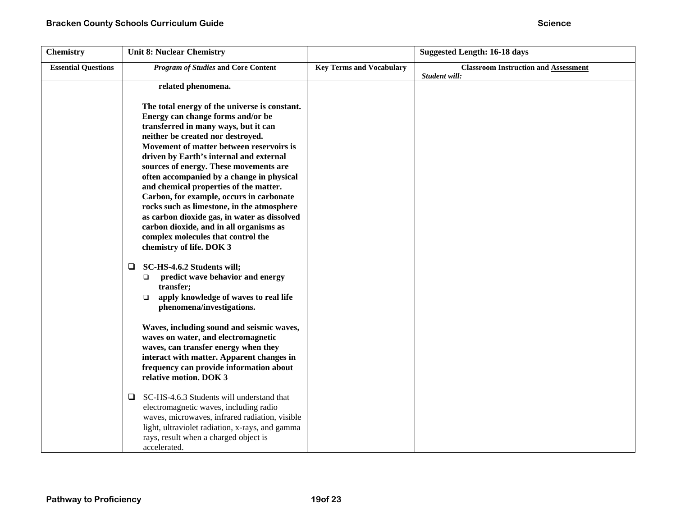| <b>Chemistry</b>           | <b>Unit 8: Nuclear Chemistry</b>                                                                                                                                                                                                                                                                                                                                                                                                                                                                                                                                                                                                               |                                 | <b>Suggested Length: 16-18 days</b>                          |
|----------------------------|------------------------------------------------------------------------------------------------------------------------------------------------------------------------------------------------------------------------------------------------------------------------------------------------------------------------------------------------------------------------------------------------------------------------------------------------------------------------------------------------------------------------------------------------------------------------------------------------------------------------------------------------|---------------------------------|--------------------------------------------------------------|
| <b>Essential Questions</b> | <b>Program of Studies and Core Content</b>                                                                                                                                                                                                                                                                                                                                                                                                                                                                                                                                                                                                     | <b>Key Terms and Vocabulary</b> | <b>Classroom Instruction and Assessment</b><br>Student will: |
|                            | related phenomena.                                                                                                                                                                                                                                                                                                                                                                                                                                                                                                                                                                                                                             |                                 |                                                              |
|                            | The total energy of the universe is constant.<br>Energy can change forms and/or be<br>transferred in many ways, but it can<br>neither be created nor destroyed.<br>Movement of matter between reservoirs is<br>driven by Earth's internal and external<br>sources of energy. These movements are<br>often accompanied by a change in physical<br>and chemical properties of the matter.<br>Carbon, for example, occurs in carbonate<br>rocks such as limestone, in the atmosphere<br>as carbon dioxide gas, in water as dissolved<br>carbon dioxide, and in all organisms as<br>complex molecules that control the<br>chemistry of life. DOK 3 |                                 |                                                              |
|                            | SC-HS-4.6.2 Students will;<br>$\Box$<br>predict wave behavior and energy<br>$\Box$<br>transfer;<br>apply knowledge of waves to real life<br>$\Box$<br>phenomena/investigations.<br>Waves, including sound and seismic waves,<br>waves on water, and electromagnetic<br>waves, can transfer energy when they                                                                                                                                                                                                                                                                                                                                    |                                 |                                                              |
|                            | interact with matter. Apparent changes in<br>frequency can provide information about<br>relative motion. DOK 3<br>SC-HS-4.6.3 Students will understand that<br>$\Box$                                                                                                                                                                                                                                                                                                                                                                                                                                                                          |                                 |                                                              |
|                            | electromagnetic waves, including radio<br>waves, microwaves, infrared radiation, visible<br>light, ultraviolet radiation, x-rays, and gamma<br>rays, result when a charged object is<br>accelerated.                                                                                                                                                                                                                                                                                                                                                                                                                                           |                                 |                                                              |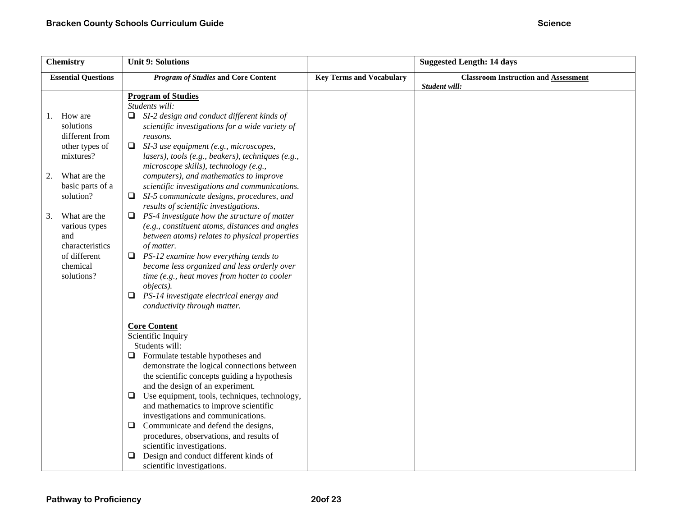| <b>Chemistry</b>                                                                                                                                                                                                                              | <b>Unit 9: Solutions</b>                                                                                                                                                                                                                                                                                                                                                                                                                                                                                                                                                                                                                                                                                                                                                                                                                                                                                                     |                                 | <b>Suggested Length: 14 days</b>                             |
|-----------------------------------------------------------------------------------------------------------------------------------------------------------------------------------------------------------------------------------------------|------------------------------------------------------------------------------------------------------------------------------------------------------------------------------------------------------------------------------------------------------------------------------------------------------------------------------------------------------------------------------------------------------------------------------------------------------------------------------------------------------------------------------------------------------------------------------------------------------------------------------------------------------------------------------------------------------------------------------------------------------------------------------------------------------------------------------------------------------------------------------------------------------------------------------|---------------------------------|--------------------------------------------------------------|
| <b>Essential Questions</b>                                                                                                                                                                                                                    | <b>Program of Studies and Core Content</b>                                                                                                                                                                                                                                                                                                                                                                                                                                                                                                                                                                                                                                                                                                                                                                                                                                                                                   | <b>Key Terms and Vocabulary</b> | <b>Classroom Instruction and Assessment</b><br>Student will: |
| How are<br>1.<br>solutions<br>different from<br>other types of<br>mixtures?<br>What are the<br>2.<br>basic parts of a<br>solution?<br>3.<br>What are the<br>various types<br>and<br>characteristics<br>of different<br>chemical<br>solutions? | <b>Program of Studies</b><br>Students will:<br>$\Box$ SI-2 design and conduct different kinds of<br>scientific investigations for a wide variety of<br>reasons.<br>SI-3 use equipment (e.g., microscopes,<br>$\Box$<br>lasers), tools (e.g., beakers), techniques (e.g.,<br>microscope skills), technology (e.g.,<br>computers), and mathematics to improve<br>scientific investigations and communications.<br>$\Box$ SI-5 communicate designs, procedures, and<br>results of scientific investigations.<br>PS-4 investigate how the structure of matter<br>Q.<br>(e.g., constituent atoms, distances and angles<br>between atoms) relates to physical properties<br>of matter.<br>$\Box$ PS-12 examine how everything tends to<br>become less organized and less orderly over<br>time (e.g., heat moves from hotter to cooler<br>objects).<br>0<br>PS-14 investigate electrical energy and<br>conductivity through matter. |                                 |                                                              |
|                                                                                                                                                                                                                                               | <b>Core Content</b><br>Scientific Inquiry<br>Students will:<br>$\Box$ Formulate testable hypotheses and<br>demonstrate the logical connections between<br>the scientific concepts guiding a hypothesis<br>and the design of an experiment.<br>Use equipment, tools, techniques, technology,<br>❏<br>and mathematics to improve scientific<br>investigations and communications.<br>Communicate and defend the designs,<br>Q.<br>procedures, observations, and results of<br>scientific investigations.<br>Design and conduct different kinds of<br>scientific investigations.                                                                                                                                                                                                                                                                                                                                                |                                 |                                                              |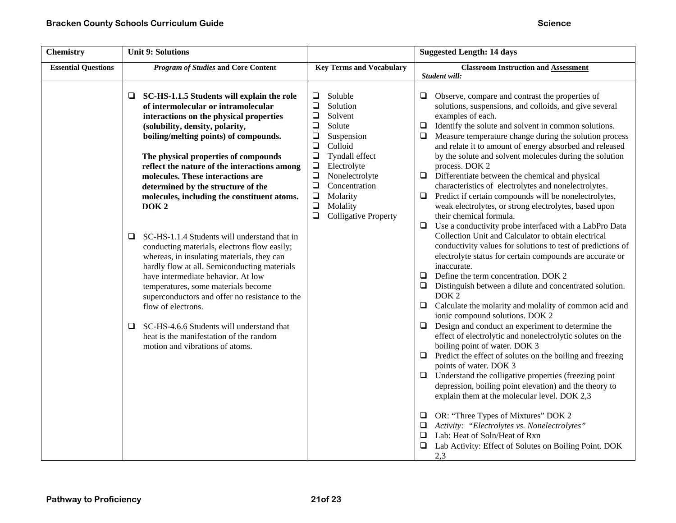| <b>Chemistry</b>           | <b>Unit 9: Solutions</b>                                                                                                                                                                                                                                                                                                                                                                                                                                                                                                                                                                                                                                                                                                                                                                                                                                                                                                                         |                                                                                                                                                                                                                                                                                                                      | <b>Suggested Length: 14 days</b>                                                                                                                                                                                                                                                                                                                                                                                                                                                                                                                                                                                                                                                                                                                                                                                                                                                                                                                                                                                                                                                                                                                                                                                                                                                                                                                                                                                                                                                                                                                                                                                                                                                                                                                                                        |
|----------------------------|--------------------------------------------------------------------------------------------------------------------------------------------------------------------------------------------------------------------------------------------------------------------------------------------------------------------------------------------------------------------------------------------------------------------------------------------------------------------------------------------------------------------------------------------------------------------------------------------------------------------------------------------------------------------------------------------------------------------------------------------------------------------------------------------------------------------------------------------------------------------------------------------------------------------------------------------------|----------------------------------------------------------------------------------------------------------------------------------------------------------------------------------------------------------------------------------------------------------------------------------------------------------------------|-----------------------------------------------------------------------------------------------------------------------------------------------------------------------------------------------------------------------------------------------------------------------------------------------------------------------------------------------------------------------------------------------------------------------------------------------------------------------------------------------------------------------------------------------------------------------------------------------------------------------------------------------------------------------------------------------------------------------------------------------------------------------------------------------------------------------------------------------------------------------------------------------------------------------------------------------------------------------------------------------------------------------------------------------------------------------------------------------------------------------------------------------------------------------------------------------------------------------------------------------------------------------------------------------------------------------------------------------------------------------------------------------------------------------------------------------------------------------------------------------------------------------------------------------------------------------------------------------------------------------------------------------------------------------------------------------------------------------------------------------------------------------------------------|
| <b>Essential Questions</b> | <b>Program of Studies and Core Content</b>                                                                                                                                                                                                                                                                                                                                                                                                                                                                                                                                                                                                                                                                                                                                                                                                                                                                                                       | <b>Key Terms and Vocabulary</b>                                                                                                                                                                                                                                                                                      | <b>Classroom Instruction and Assessment</b><br>Student will:                                                                                                                                                                                                                                                                                                                                                                                                                                                                                                                                                                                                                                                                                                                                                                                                                                                                                                                                                                                                                                                                                                                                                                                                                                                                                                                                                                                                                                                                                                                                                                                                                                                                                                                            |
|                            | □<br>SC-HS-1.1.5 Students will explain the role<br>of intermolecular or intramolecular<br>interactions on the physical properties<br>(solubility, density, polarity,<br>boiling/melting points) of compounds.<br>The physical properties of compounds<br>reflect the nature of the interactions among<br>molecules. These interactions are<br>determined by the structure of the<br>molecules, including the constituent atoms.<br>DOK <sub>2</sub><br>SC-HS-1.1.4 Students will understand that in<br>$\Box$<br>conducting materials, electrons flow easily;<br>whereas, in insulating materials, they can<br>hardly flow at all. Semiconducting materials<br>have intermediate behavior. At low<br>temperatures, some materials become<br>superconductors and offer no resistance to the<br>flow of electrons.<br>SC-HS-4.6.6 Students will understand that<br>⊔<br>heat is the manifestation of the random<br>motion and vibrations of atoms. | $\Box$<br>Soluble<br>$\Box$<br>Solution<br>❏<br>Solvent<br>$\Box$<br>Solute<br>□<br>Suspension<br>Colloid<br>$\Box$<br>$\Box$<br>Tyndall effect<br>$\Box$<br>Electrolyte<br>$\Box$<br>Nonelectrolyte<br>$\Box$<br>Concentration<br>Molarity<br>$\Box$<br>$\Box$<br>Molality<br>$\Box$<br><b>Colligative Property</b> | Observe, compare and contrast the properties of<br>$\Box$<br>solutions, suspensions, and colloids, and give several<br>examples of each.<br>$\Box$ Identify the solute and solvent in common solutions.<br>$\Box$ Measure temperature change during the solution process<br>and relate it to amount of energy absorbed and released<br>by the solute and solvent molecules during the solution<br>process. DOK 2<br>$\Box$ Differentiate between the chemical and physical<br>characteristics of electrolytes and nonelectrolytes.<br>Predict if certain compounds will be nonelectrolytes,<br>❏<br>weak electrolytes, or strong electrolytes, based upon<br>their chemical formula.<br>$\Box$<br>Use a conductivity probe interfaced with a LabPro Data<br>Collection Unit and Calculator to obtain electrical<br>conductivity values for solutions to test of predictions of<br>electrolyte status for certain compounds are accurate or<br>inaccurate.<br>$\Box$ Define the term concentration. DOK 2<br>$\Box$ Distinguish between a dilute and concentrated solution.<br>DOK <sub>2</sub><br>$\Box$<br>Calculate the molarity and molality of common acid and<br>ionic compound solutions. DOK 2<br>$\Box$ Design and conduct an experiment to determine the<br>effect of electrolytic and nonelectrolytic solutes on the<br>boiling point of water. DOK 3<br>$\Box$ Predict the effect of solutes on the boiling and freezing<br>points of water. DOK 3<br>$\Box$ Understand the colligative properties (freezing point<br>depression, boiling point elevation) and the theory to<br>explain them at the molecular level. DOK 2,3<br>$\Box$ OR: "Three Types of Mixtures" DOK 2<br>$\Box$ Activity: "Electrolytes vs. Nonelectrolytes"<br>Lab: Heat of Soln/Heat of Rxn<br>$\Box$ |
|                            |                                                                                                                                                                                                                                                                                                                                                                                                                                                                                                                                                                                                                                                                                                                                                                                                                                                                                                                                                  |                                                                                                                                                                                                                                                                                                                      | Lab Activity: Effect of Solutes on Boiling Point. DOK<br>2,3                                                                                                                                                                                                                                                                                                                                                                                                                                                                                                                                                                                                                                                                                                                                                                                                                                                                                                                                                                                                                                                                                                                                                                                                                                                                                                                                                                                                                                                                                                                                                                                                                                                                                                                            |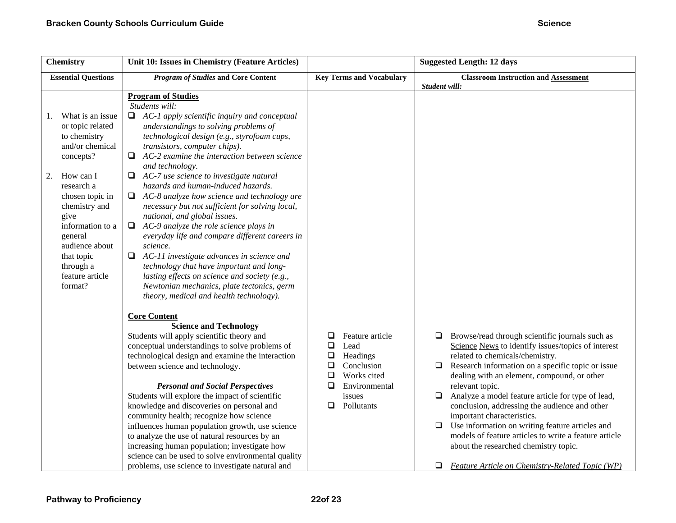| <b>Chemistry</b>                                                                                                                                                                                                                                                                  | Unit 10: Issues in Chemistry (Feature Articles)                                                                                                                                                                                                                                                                                                                                                                                                                                                                                                                                                                                                                                                                                                                                                                                                                                                                                                                                                                                                                                                                                                                                                                                                                                                                                                                                                                                                                                                                                                                                                   |                                                                                                                                                                       | <b>Suggested Length: 12 days</b>                                                                                                                                                                                                                                                                                                                                                                                                                                                                                                                                                                                                                             |
|-----------------------------------------------------------------------------------------------------------------------------------------------------------------------------------------------------------------------------------------------------------------------------------|---------------------------------------------------------------------------------------------------------------------------------------------------------------------------------------------------------------------------------------------------------------------------------------------------------------------------------------------------------------------------------------------------------------------------------------------------------------------------------------------------------------------------------------------------------------------------------------------------------------------------------------------------------------------------------------------------------------------------------------------------------------------------------------------------------------------------------------------------------------------------------------------------------------------------------------------------------------------------------------------------------------------------------------------------------------------------------------------------------------------------------------------------------------------------------------------------------------------------------------------------------------------------------------------------------------------------------------------------------------------------------------------------------------------------------------------------------------------------------------------------------------------------------------------------------------------------------------------------|-----------------------------------------------------------------------------------------------------------------------------------------------------------------------|--------------------------------------------------------------------------------------------------------------------------------------------------------------------------------------------------------------------------------------------------------------------------------------------------------------------------------------------------------------------------------------------------------------------------------------------------------------------------------------------------------------------------------------------------------------------------------------------------------------------------------------------------------------|
| <b>Essential Questions</b>                                                                                                                                                                                                                                                        | <b>Program of Studies and Core Content</b>                                                                                                                                                                                                                                                                                                                                                                                                                                                                                                                                                                                                                                                                                                                                                                                                                                                                                                                                                                                                                                                                                                                                                                                                                                                                                                                                                                                                                                                                                                                                                        | <b>Key Terms and Vocabulary</b>                                                                                                                                       | <b>Classroom Instruction and Assessment</b><br>Student will:                                                                                                                                                                                                                                                                                                                                                                                                                                                                                                                                                                                                 |
| What is an issue<br>1.<br>or topic related<br>to chemistry<br>and/or chemical<br>concepts?<br>How can I<br>2.<br>research a<br>chosen topic in<br>chemistry and<br>give<br>information to a<br>general<br>audience about<br>that topic<br>through a<br>feature article<br>format? | <b>Program of Studies</b><br>Students will:<br>$\Box$ AC-1 apply scientific inquiry and conceptual<br>understandings to solving problems of<br>technological design (e.g., styrofoam cups,<br>transistors, computer chips).<br>AC-2 examine the interaction between science<br>❏<br>and technology.<br>$\Box$ AC-7 use science to investigate natural<br>hazards and human-induced hazards.<br>$\Box$ AC-8 analyze how science and technology are<br>necessary but not sufficient for solving local,<br>national, and global issues.<br>AC-9 analyze the role science plays in<br>$\Box$<br>everyday life and compare different careers in<br>science.<br>$\Box$ AC-11 investigate advances in science and<br>technology that have important and long-<br>lasting effects on science and society (e.g.,<br>Newtonian mechanics, plate tectonics, germ<br>theory, medical and health technology).<br><b>Core Content</b><br><b>Science and Technology</b><br>Students will apply scientific theory and<br>conceptual understandings to solve problems of<br>technological design and examine the interaction<br>between science and technology.<br><b>Personal and Social Perspectives</b><br>Students will explore the impact of scientific<br>knowledge and discoveries on personal and<br>community health; recognize how science<br>influences human population growth, use science<br>to analyze the use of natural resources by an<br>increasing human population; investigate how<br>science can be used to solve environmental quality<br>problems, use science to investigate natural and | ❏<br>Feature article<br>$\Box$<br>Lead<br>$\Box$<br>Headings<br>$\Box$<br>Conclusion<br>Works cited<br>$\Box$<br>◻<br>Environmental<br>issues<br>Pollutants<br>$\Box$ | Browse/read through scientific journals such as<br>□<br>Science News to identify issues/topics of interest<br>related to chemicals/chemistry.<br>Research information on a specific topic or issue<br>$\Box$<br>dealing with an element, compound, or other<br>relevant topic.<br>Analyze a model feature article for type of lead,<br>$\Box$<br>conclusion, addressing the audience and other<br>important characteristics.<br>$\Box$ Use information on writing feature articles and<br>models of feature articles to write a feature article<br>about the researched chemistry topic.<br><b>Feature Article on Chemistry-Related Topic (WP)</b><br>$\Box$ |